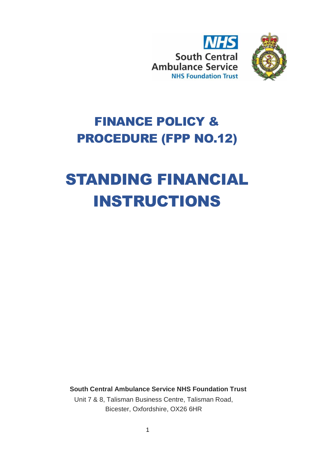



## FINANCE POLICY & PROCEDURE (FPP NO.12)

# STANDING FINANCIAL INSTRUCTIONS

**South Central Ambulance Service NHS Foundation Trust** Unit 7 & 8, Talisman Business Centre, Talisman Road, Bicester, Oxfordshire, OX26 6HR

1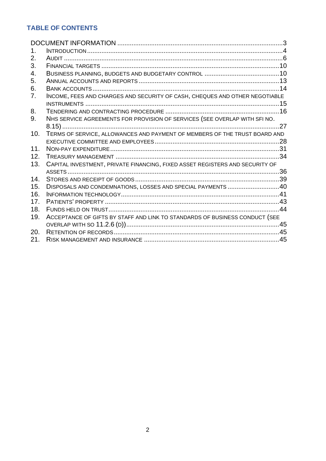## **TABLE OF CONTENTS**

<span id="page-1-0"></span>

| 1.             |                                                                              |  |
|----------------|------------------------------------------------------------------------------|--|
| 2.             |                                                                              |  |
| 3.             |                                                                              |  |
| 4.             |                                                                              |  |
| 5.             |                                                                              |  |
| 6.             |                                                                              |  |
| 7 <sub>1</sub> | INCOME, FEES AND CHARGES AND SECURITY OF CASH, CHEQUES AND OTHER NEGOTIABLE  |  |
|                |                                                                              |  |
| 8.             |                                                                              |  |
| 9.             | NHS SERVICE AGREEMENTS FOR PROVISION OF SERVICES (SEE OVERLAP WITH SFI NO.   |  |
|                |                                                                              |  |
| 10.            | TERMS OF SERVICE, ALLOWANCES AND PAYMENT OF MEMBERS OF THE TRUST BOARD AND   |  |
|                |                                                                              |  |
| 11.            |                                                                              |  |
| 12.            |                                                                              |  |
| 13.            | CAPITAL INVESTMENT, PRIVATE FINANCING, FIXED ASSET REGISTERS AND SECURITY OF |  |
|                |                                                                              |  |
| 14.            |                                                                              |  |
| 15.            | DISPOSALS AND CONDEMNATIONS, LOSSES AND SPECIAL PAYMENTS 40                  |  |
| 16.            |                                                                              |  |
| 17.            |                                                                              |  |
| 18.            |                                                                              |  |
| 19.            | ACCEPTANCE OF GIFTS BY STAFF AND LINK TO STANDARDS OF BUSINESS CONDUCT (SEE  |  |
|                |                                                                              |  |
| 20.            |                                                                              |  |
| 21.            |                                                                              |  |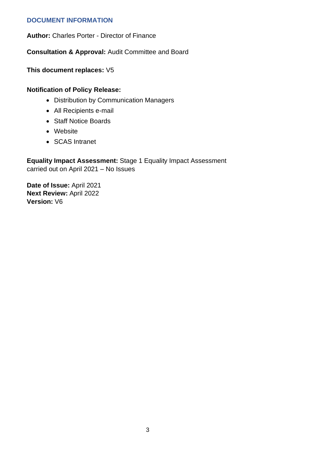## **DOCUMENT INFORMATION**

**Author:** Charles Porter - Director of Finance

**Consultation & Approval:** Audit Committee and Board

**This document replaces:** V5

## **Notification of Policy Release:**

- Distribution by Communication Managers
- All Recipients e-mail
- Staff Notice Boards
- Website
- SCAS Intranet

**Equality Impact Assessment:** Stage 1 Equality Impact Assessment carried out on April 2021 – No Issues

**Date of Issue:** April 2021 **Next Review:** April 2022 **Version:** V6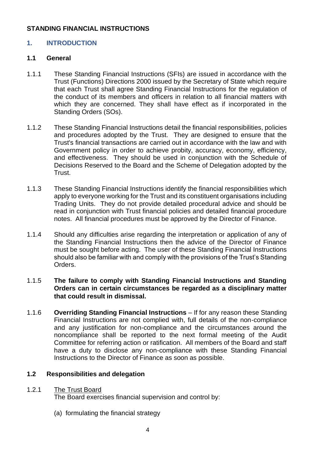## **STANDING FINANCIAL INSTRUCTIONS**

## <span id="page-3-0"></span>**1. INTRODUCTION**

## **1.1 General**

- 1.1.1 These Standing Financial Instructions (SFIs) are issued in accordance with the Trust (Functions) Directions 2000 issued by the Secretary of State which require that each Trust shall agree Standing Financial Instructions for the regulation of the conduct of its members and officers in relation to all financial matters with which they are concerned. They shall have effect as if incorporated in the Standing Orders (SOs).
- 1.1.2 These Standing Financial Instructions detail the financial responsibilities, policies and procedures adopted by the Trust. They are designed to ensure that the Trust's financial transactions are carried out in accordance with the law and with Government policy in order to achieve probity, accuracy, economy, efficiency, and effectiveness. They should be used in conjunction with the Schedule of Decisions Reserved to the Board and the Scheme of Delegation adopted by the Trust.
- 1.1.3 These Standing Financial Instructions identify the financial responsibilities which apply to everyone working for the Trust and its constituent organisations including Trading Units. They do not provide detailed procedural advice and should be read in conjunction with Trust financial policies and detailed financial procedure notes. All financial procedures must be approved by the Director of Finance.
- 1.1.4 Should any difficulties arise regarding the interpretation or application of any of the Standing Financial Instructions then the advice of the Director of Finance must be sought before acting. The user of these Standing Financial Instructions should also be familiar with and comply with the provisions of the Trust's Standing Orders.

## 1.1.5 **The failure to comply with Standing Financial Instructions and Standing Orders can in certain circumstances be regarded as a disciplinary matter that could result in dismissal.**

1.1.6 **Overriding Standing Financial Instructions** – If for any reason these Standing Financial Instructions are not complied with, full details of the non-compliance and any justification for non-compliance and the circumstances around the noncompliance shall be reported to the next formal meeting of the Audit Committee for referring action or ratification. All members of the Board and staff have a duty to disclose any non-compliance with these Standing Financial Instructions to the Director of Finance as soon as possible.

## **1.2 Responsibilities and delegation**

#### 1.2.1 The Trust Board

The Board exercises financial supervision and control by:

(a) formulating the financial strategy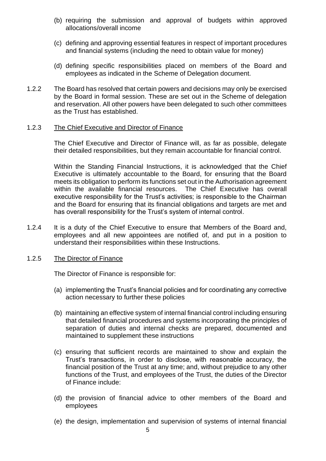- (b) requiring the submission and approval of budgets within approved allocations/overall income
- (c) defining and approving essential features in respect of important procedures and financial systems (including the need to obtain value for money)
- (d) defining specific responsibilities placed on members of the Board and employees as indicated in the Scheme of Delegation document.
- 1.2.2 The Board has resolved that certain powers and decisions may only be exercised by the Board in formal session. These are set out in the Scheme of delegation and reservation. All other powers have been delegated to such other committees as the Trust has established.

#### 1.2.3 The Chief Executive and Director of Finance

The Chief Executive and Director of Finance will, as far as possible, delegate their detailed responsibilities, but they remain accountable for financial control.

Within the Standing Financial Instructions, it is acknowledged that the Chief Executive is ultimately accountable to the Board, for ensuring that the Board meets its obligation to perform its functions set out in the Authorisation agreement within the available financial resources. The Chief Executive has overall executive responsibility for the Trust's activities; is responsible to the Chairman and the Board for ensuring that its financial obligations and targets are met and has overall responsibility for the Trust's system of internal control.

1.2.4 It is a duty of the Chief Executive to ensure that Members of the Board and, employees and all new appointees are notified of, and put in a position to understand their responsibilities within these Instructions.

## 1.2.5 The Director of Finance

The Director of Finance is responsible for:

- (a) implementing the Trust's financial policies and for coordinating any corrective action necessary to further these policies
- (b) maintaining an effective system of internal financial control including ensuring that detailed financial procedures and systems incorporating the principles of separation of duties and internal checks are prepared, documented and maintained to supplement these instructions
- (c) ensuring that sufficient records are maintained to show and explain the Trust's transactions, in order to disclose, with reasonable accuracy, the financial position of the Trust at any time; and, without prejudice to any other functions of the Trust, and employees of the Trust, the duties of the Director of Finance include:
- (d) the provision of financial advice to other members of the Board and employees
- (e) the design, implementation and supervision of systems of internal financial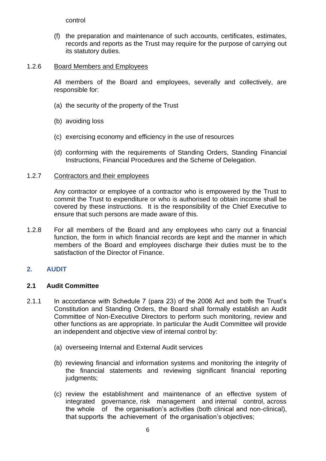(f) the preparation and maintenance of such accounts, certificates, estimates, records and reports as the Trust may require for the purpose of carrying out its statutory duties.

## 1.2.6 Board Members and Employees

All members of the Board and employees, severally and collectively, are responsible for:

- (a) the security of the property of the Trust
- (b) avoiding loss
- (c) exercising economy and efficiency in the use of resources
- (d) conforming with the requirements of Standing Orders, Standing Financial Instructions, Financial Procedures and the Scheme of Delegation.

## 1.2.7 Contractors and their employees

Any contractor or employee of a contractor who is empowered by the Trust to commit the Trust to expenditure or who is authorised to obtain income shall be covered by these instructions. It is the responsibility of the Chief Executive to ensure that such persons are made aware of this.

1.2.8 For all members of the Board and any employees who carry out a financial function, the form in which financial records are kept and the manner in which members of the Board and employees discharge their duties must be to the satisfaction of the Director of Finance.

## <span id="page-5-0"></span>**2. AUDIT**

## **2.1 Audit Committee**

- 2.1.1 In accordance with Schedule 7 (para 23) of the 2006 Act and both the Trust's Constitution and Standing Orders, the Board shall formally establish an Audit Committee of Non-Executive Directors to perform such monitoring, review and other functions as are appropriate. In particular the Audit Committee will provide an independent and objective view of internal control by:
	- (a) overseeing Internal and External Audit services
	- (b) reviewing financial and information systems and monitoring the integrity of the financial statements and reviewing significant financial reporting judgments;
	- (c) review the establishment and maintenance of an effective system of integrated governance, risk management and internal control, across the whole of the organisation's activities (both clinical and non-clinical), that supports the achievement of the organisation's objectives;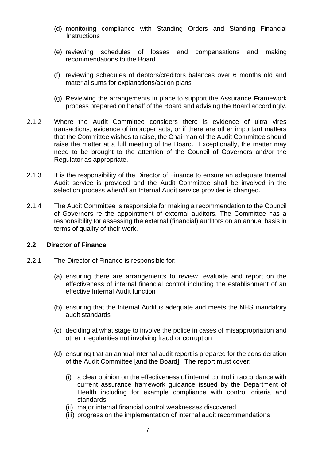- (d) monitoring compliance with Standing Orders and Standing Financial **Instructions**
- (e) reviewing schedules of losses and compensations and making recommendations to the Board
- (f) reviewing schedules of debtors/creditors balances over 6 months old and material sums for explanations/action plans
- (g) Reviewing the arrangements in place to support the Assurance Framework process prepared on behalf of the Board and advising the Board accordingly.
- 2.1.2 Where the Audit Committee considers there is evidence of ultra vires transactions, evidence of improper acts, or if there are other important matters that the Committee wishes to raise, the Chairman of the Audit Committee should raise the matter at a full meeting of the Board. Exceptionally, the matter may need to be brought to the attention of the Council of Governors and/or the Regulator as appropriate.
- 2.1.3 It is the responsibility of the Director of Finance to ensure an adequate Internal Audit service is provided and the Audit Committee shall be involved in the selection process when/if an Internal Audit service provider is changed.
- 2.1.4 The Audit Committee is responsible for making a recommendation to the Council of Governors re the appointment of external auditors. The Committee has a responsibility for assessing the external (financial) auditors on an annual basis in terms of quality of their work.

#### **2.2 Director of Finance**

- 2.2.1 The Director of Finance is responsible for:
	- (a) ensuring there are arrangements to review, evaluate and report on the effectiveness of internal financial control including the establishment of an effective Internal Audit function
	- (b) ensuring that the Internal Audit is adequate and meets the NHS mandatory audit standards
	- (c) deciding at what stage to involve the police in cases of misappropriation and other irregularities not involving fraud or corruption
	- (d) ensuring that an annual internal audit report is prepared for the consideration of the Audit Committee [and the Board]. The report must cover:
		- (i) a clear opinion on the effectiveness of internal control in accordance with current assurance framework guidance issued by the Department of Health including for example compliance with control criteria and standards
		- (ii) major internal financial control weaknesses discovered
		- (iii) progress on the implementation of internal audit recommendations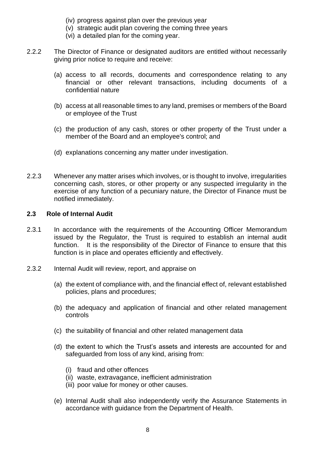- (iv) progress against plan over the previous year
- (v) strategic audit plan covering the coming three years
- (vi) a detailed plan for the coming year.
- 2.2.2 The Director of Finance or designated auditors are entitled without necessarily giving prior notice to require and receive:
	- (a) access to all records, documents and correspondence relating to any financial or other relevant transactions, including documents of a confidential nature
	- (b) access at all reasonable times to any land, premises or members of the Board or employee of the Trust
	- (c) the production of any cash, stores or other property of the Trust under a member of the Board and an employee's control; and
	- (d) explanations concerning any matter under investigation.
- 2.2.3 Whenever any matter arises which involves, or is thought to involve, irregularities concerning cash, stores, or other property or any suspected irregularity in the exercise of any function of a pecuniary nature, the Director of Finance must be notified immediately.

#### **2.3 Role of Internal Audit**

- 2.3.1 In accordance with the requirements of the Accounting Officer Memorandum issued by the Regulator, the Trust is required to establish an internal audit function. It is the responsibility of the Director of Finance to ensure that this function is in place and operates efficiently and effectively.
- 2.3.2 Internal Audit will review, report, and appraise on
	- (a) the extent of compliance with, and the financial effect of, relevant established policies, plans and procedures;
	- (b) the adequacy and application of financial and other related management controls
	- (c) the suitability of financial and other related management data
	- (d) the extent to which the Trust's assets and interests are accounted for and safeguarded from loss of any kind, arising from:
		- (i) fraud and other offences
		- (ii) waste, extravagance, inefficient administration
		- (iii) poor value for money or other causes.
	- (e) Internal Audit shall also independently verify the Assurance Statements in accordance with guidance from the Department of Health.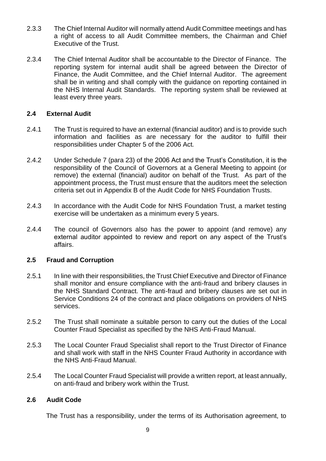- 2.3.3 The Chief Internal Auditor will normally attend Audit Committee meetings and has a right of access to all Audit Committee members, the Chairman and Chief Executive of the Trust.
- 2.3.4 The Chief Internal Auditor shall be accountable to the Director of Finance. The reporting system for internal audit shall be agreed between the Director of Finance, the Audit Committee, and the Chief Internal Auditor. The agreement shall be in writing and shall comply with the guidance on reporting contained in the NHS Internal Audit Standards. The reporting system shall be reviewed at least every three years.

## **2.4 External Audit**

- 2.4.1 The Trust is required to have an external (financial auditor) and is to provide such information and facilities as are necessary for the auditor to fulfill their responsibilities under Chapter 5 of the 2006 Act.
- 2.4.2 Under Schedule 7 (para 23) of the 2006 Act and the Trust's Constitution, it is the responsibility of the Council of Governors at a General Meeting to appoint (or remove) the external (financial) auditor on behalf of the Trust. As part of the appointment process, the Trust must ensure that the auditors meet the selection criteria set out in Appendix B of the Audit Code for NHS Foundation Trusts.
- 2.4.3 In accordance with the Audit Code for NHS Foundation Trust, a market testing exercise will be undertaken as a minimum every 5 years.
- 2.4.4 The council of Governors also has the power to appoint (and remove) any external auditor appointed to review and report on any aspect of the Trust's affairs.

## **2.5 Fraud and Corruption**

- 2.5.1 In line with their responsibilities, the Trust Chief Executive and Director of Finance shall monitor and ensure compliance with the anti-fraud and bribery clauses in the NHS Standard Contract. The anti-fraud and bribery clauses are set out in Service Conditions 24 of the contract and place obligations on providers of NHS services.
- 2.5.2 The Trust shall nominate a suitable person to carry out the duties of the Local Counter Fraud Specialist as specified by the NHS Anti-Fraud Manual.
- 2.5.3 The Local Counter Fraud Specialist shall report to the Trust Director of Finance and shall work with staff in the NHS Counter Fraud Authority in accordance with the NHS Anti-Fraud Manual.
- 2.5.4 The Local Counter Fraud Specialist will provide a written report, at least annually, on anti-fraud and bribery work within the Trust.

## **2.6 Audit Code**

The Trust has a responsibility, under the terms of its Authorisation agreement, to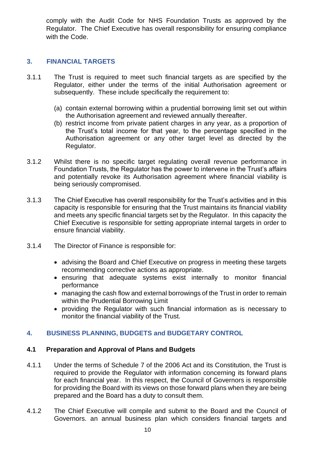comply with the Audit Code for NHS Foundation Trusts as approved by the Regulator. The Chief Executive has overall responsibility for ensuring compliance with the Code.

## <span id="page-9-0"></span>**3. FINANCIAL TARGETS**

- 3.1.1 The Trust is required to meet such financial targets as are specified by the Regulator, either under the terms of the initial Authorisation agreement or subsequently. These include specifically the requirement to:
	- (a) contain external borrowing within a prudential borrowing limit set out within the Authorisation agreement and reviewed annually thereafter.
	- (b) restrict income from private patient charges in any year, as a proportion of the Trust's total income for that year, to the percentage specified in the Authorisation agreement or any other target level as directed by the Regulator.
- 3.1.2 Whilst there is no specific target regulating overall revenue performance in Foundation Trusts, the Regulator has the power to intervene in the Trust's affairs and potentially revoke its Authorisation agreement where financial viability is being seriously compromised.
- 3.1.3 The Chief Executive has overall responsibility for the Trust's activities and in this capacity is responsible for ensuring that the Trust maintains its financial viability and meets any specific financial targets set by the Regulator. In this capacity the Chief Executive is responsible for setting appropriate internal targets in order to ensure financial viability.
- 3.1.4 The Director of Finance is responsible for:
	- advising the Board and Chief Executive on progress in meeting these targets recommending corrective actions as appropriate.
	- ensuring that adequate systems exist internally to monitor financial performance
	- managing the cash flow and external borrowings of the Trust in order to remain within the Prudential Borrowing Limit
	- providing the Regulator with such financial information as is necessary to monitor the financial viability of the Trust.

## <span id="page-9-1"></span>**4. BUSINESS PLANNING, BUDGETS and BUDGETARY CONTROL**

## **4.1 Preparation and Approval of Plans and Budgets**

- 4.1.1 Under the terms of Schedule 7 of the 2006 Act and its Constitution, the Trust is required to provide the Regulator with information concerning its forward plans for each financial year. In this respect, the Council of Governors is responsible for providing the Board with its views on those forward plans when they are being prepared and the Board has a duty to consult them.
- 4.1.2 The Chief Executive will compile and submit to the Board and the Council of Governors. an annual business plan which considers financial targets and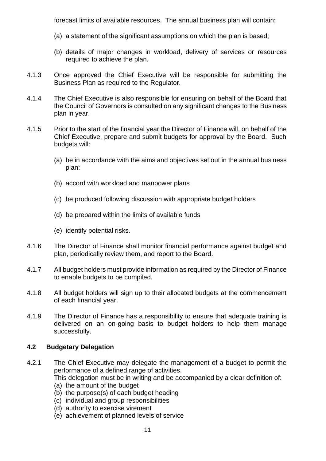forecast limits of available resources. The annual business plan will contain:

- (a) a statement of the significant assumptions on which the plan is based;
- (b) details of major changes in workload, delivery of services or resources required to achieve the plan.
- 4.1.3 Once approved the Chief Executive will be responsible for submitting the Business Plan as required to the Regulator.
- 4.1.4 The Chief Executive is also responsible for ensuring on behalf of the Board that the Council of Governors is consulted on any significant changes to the Business plan in year.
- 4.1.5 Prior to the start of the financial year the Director of Finance will, on behalf of the Chief Executive, prepare and submit budgets for approval by the Board. Such budgets will:
	- (a) be in accordance with the aims and objectives set out in the annual business plan:
	- (b) accord with workload and manpower plans
	- (c) be produced following discussion with appropriate budget holders
	- (d) be prepared within the limits of available funds
	- (e) identify potential risks.
- 4.1.6 The Director of Finance shall monitor financial performance against budget and plan, periodically review them, and report to the Board.
- 4.1.7 All budget holders must provide information as required by the Director of Finance to enable budgets to be compiled.
- 4.1.8 All budget holders will sign up to their allocated budgets at the commencement of each financial year.
- 4.1.9 The Director of Finance has a responsibility to ensure that adequate training is delivered on an on-going basis to budget holders to help them manage successfully.

## **4.2 Budgetary Delegation**

- 4.2.1 The Chief Executive may delegate the management of a budget to permit the performance of a defined range of activities. This delegation must be in writing and be accompanied by a clear definition of:
	- (a) the amount of the budget
	- (b) the purpose(s) of each budget heading
	- (c) individual and group responsibilities
	- (d) authority to exercise virement
	- (e) achievement of planned levels of service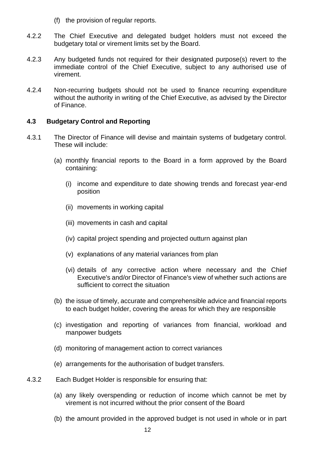(f) the provision of regular reports.

- 4.2.2 The Chief Executive and delegated budget holders must not exceed the budgetary total or virement limits set by the Board.
- 4.2.3 Any budgeted funds not required for their designated purpose(s) revert to the immediate control of the Chief Executive, subject to any authorised use of virement.
- 4.2.4 Non-recurring budgets should not be used to finance recurring expenditure without the authority in writing of the Chief Executive, as advised by the Director of Finance.

## **4.3 Budgetary Control and Reporting**

- 4.3.1 The Director of Finance will devise and maintain systems of budgetary control. These will include:
	- (a) monthly financial reports to the Board in a form approved by the Board containing:
		- (i) income and expenditure to date showing trends and forecast year-end position
		- (ii) movements in working capital
		- (iii) movements in cash and capital
		- (iv) capital project spending and projected outturn against plan
		- (v) explanations of any material variances from plan
		- (vi) details of any corrective action where necessary and the Chief Executive's and/or Director of Finance's view of whether such actions are sufficient to correct the situation
	- (b) the issue of timely, accurate and comprehensible advice and financial reports to each budget holder, covering the areas for which they are responsible
	- (c) investigation and reporting of variances from financial, workload and manpower budgets
	- (d) monitoring of management action to correct variances
	- (e) arrangements for the authorisation of budget transfers.
- 4.3.2 Each Budget Holder is responsible for ensuring that:
	- (a) any likely overspending or reduction of income which cannot be met by virement is not incurred without the prior consent of the Board
	- (b) the amount provided in the approved budget is not used in whole or in part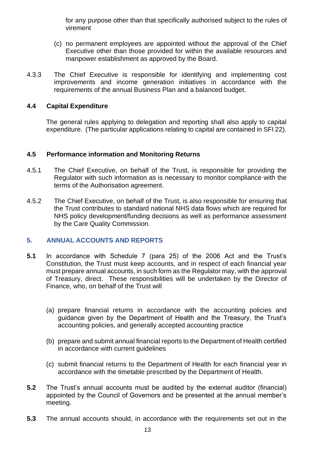for any purpose other than that specifically authorised subject to the rules of virement

- (c) no permanent employees are appointed without the approval of the Chief Executive other than those provided for within the available resources and manpower establishment as approved by the Board.
- 4.3.3 The Chief Executive is responsible for identifying and implementing cost improvements and income generation initiatives in accordance with the requirements of the annual Business Plan and a balanced budget.

## **4.4 Capital Expenditure**

The general rules applying to delegation and reporting shall also apply to capital expenditure. (The particular applications relating to capital are contained in SFI 22).

## **4.5 Performance information and Monitoring Returns**

- 4.5.1 The Chief Executive, on behalf of the Trust, is responsible for providing the Regulator with such information as is necessary to monitor compliance with the terms of the Authorisation agreement.
- 4.5.2 The Chief Executive, on behalf of the Trust, is also responsible for ensuring that the Trust contributes to standard national NHS data flows which are required for NHS policy development/funding decisions as well as performance assessment by the Care Quality Commission.

## <span id="page-12-0"></span>**5. ANNUAL ACCOUNTS AND REPORTS**

- **5.1** In accordance with Schedule 7 (para 25) of the 2006 Act and the Trust's Constitution, the Trust must keep accounts, and in respect of each financial year must prepare annual accounts, in such form as the Regulator may, with the approval of Treasury, direct. These responsibilities will be undertaken by the Director of Finance, who, on behalf of the Trust will
	- (a) prepare financial returns in accordance with the accounting policies and guidance given by the Department of Health and the Treasury, the Trust's accounting policies, and generally accepted accounting practice
	- (b) prepare and submit annual financial reports to the Department of Health certified in accordance with current guidelines
	- (c) submit financial returns to the Department of Health for each financial year in accordance with the timetable prescribed by the Department of Health.
- **5.2** The Trust's annual accounts must be audited by the external auditor (financial) appointed by the Council of Governors and be presented at the annual member's meeting.
- **5.3** The annual accounts should, in accordance with the requirements set out in the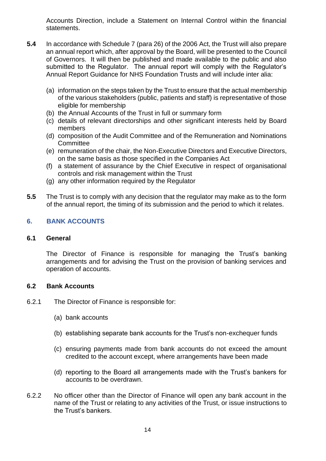Accounts Direction, include a Statement on Internal Control within the financial statements.

- **5.4** In accordance with Schedule 7 (para 26) of the 2006 Act, the Trust will also prepare an annual report which, after approval by the Board, will be presented to the Council of Governors. It will then be published and made available to the public and also submitted to the Regulator. The annual report will comply with the Regulator's Annual Report Guidance for NHS Foundation Trusts and will include inter alia:
	- (a) information on the steps taken by the Trust to ensure that the actual membership of the various stakeholders (public, patients and staff) is representative of those eligible for membership
	- (b) the Annual Accounts of the Trust in full or summary form
	- (c) details of relevant directorships and other significant interests held by Board members
	- (d) composition of the Audit Committee and of the Remuneration and Nominations **Committee**
	- (e) remuneration of the chair, the Non-Executive Directors and Executive Directors, on the same basis as those specified in the Companies Act
	- (f) a statement of assurance by the Chief Executive in respect of organisational controls and risk management within the Trust
	- (g) any other information required by the Regulator
- **5.5** The Trust is to comply with any decision that the regulator may make as to the form of the annual report, the timing of its submission and the period to which it relates.

## <span id="page-13-0"></span>**6. BANK ACCOUNTS**

#### **6.1 General**

The Director of Finance is responsible for managing the Trust's banking arrangements and for advising the Trust on the provision of banking services and operation of accounts.

#### **6.2 Bank Accounts**

- 6.2.1 The Director of Finance is responsible for:
	- (a) bank accounts
	- (b) establishing separate bank accounts for the Trust's non-exchequer funds
	- (c) ensuring payments made from bank accounts do not exceed the amount credited to the account except, where arrangements have been made
	- (d) reporting to the Board all arrangements made with the Trust's bankers for accounts to be overdrawn.
- 6.2.2 No officer other than the Director of Finance will open any bank account in the name of the Trust or relating to any activities of the Trust, or issue instructions to the Trust's bankers.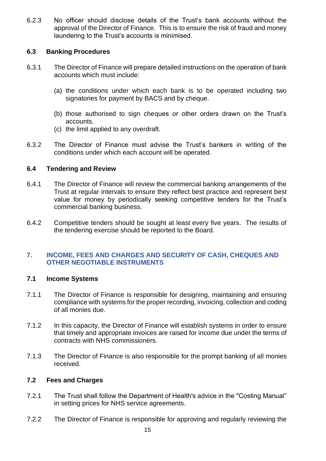6.2.3 No officer should disclose details of the Trust's bank accounts without the approval of the Director of Finance. This is to ensure the risk of fraud and money laundering to the Trust's accounts is minimised.

## **6.3 Banking Procedures**

- 6.3.1 The Director of Finance will prepare detailed instructions on the operation of bank accounts which must include:
	- (a) the conditions under which each bank is to be operated including two signatories for payment by BACS and by cheque.
	- (b) those authorised to sign cheques or other orders drawn on the Trust's accounts.
	- (c) the limit applied to any overdraft.
- 6.3.2 The Director of Finance must advise the Trust's bankers in writing of the conditions under which each account will be operated.

## **6.4 Tendering and Review**

- 6.4.1 The Director of Finance will review the commercial banking arrangements of the Trust at regular intervals to ensure they reflect best practice and represent best value for money by periodically seeking competitive tenders for the Trust's commercial banking business.
- 6.4.2 Competitive tenders should be sought at least every five years. The results of the tendering exercise should be reported to the Board.

## <span id="page-14-0"></span>**7. INCOME, FEES AND CHARGES AND SECURITY OF CASH, CHEQUES AND OTHER NEGOTIABLE INSTRUMENTS**

## **7.1 Income Systems**

- 7.1.1 The Director of Finance is responsible for designing, maintaining and ensuring compliance with systems for the proper recording, invoicing, collection and coding of all monies due.
- 7.1.2 In this capacity, the Director of Finance will establish systems in order to ensure that timely and appropriate invoices are raised for income due under the terms of contracts with NHS commissioners.
- 7.1.3 The Director of Finance is also responsible for the prompt banking of all monies received.

## **7.2 Fees and Charges**

- 7.2.1 The Trust shall follow the Department of Health's advice in the "Costing Manual" in setting prices for NHS service agreements.
- 7.2.2 The Director of Finance is responsible for approving and regularly reviewing the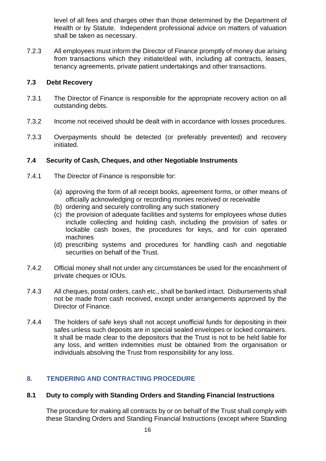level of all fees and charges other than those determined by the Department of Health or by Statute. Independent professional advice on matters of valuation shall be taken as necessary.

7.2.3 All employees must inform the Director of Finance promptly of money due arising from transactions which they initiate/deal with, including all contracts, leases, tenancy agreements, private patient undertakings and other transactions.

## **7.3 Debt Recovery**

- 7.3.1 The Director of Finance is responsible for the appropriate recovery action on all outstanding debts.
- 7.3.2 Income not received should be dealt with in accordance with losses procedures.
- 7.3.3 Overpayments should be detected (or preferably prevented) and recovery initiated.

## **7.4 Security of Cash, Cheques, and other Negotiable Instruments**

- 7.4.1 The Director of Finance is responsible for:
	- (a) approving the form of all receipt books, agreement forms, or other means of officially acknowledging or recording monies received or receivable
	- (b) ordering and securely controlling any such stationery
	- (c) the provision of adequate facilities and systems for employees whose duties include collecting and holding cash, including the provision of safes or lockable cash boxes, the procedures for keys, and for coin operated machines
	- (d) prescribing systems and procedures for handling cash and negotiable securities on behalf of the Trust.
- 7.4.2 Official money shall not under any circumstances be used for the encashment of private cheques or IOUs.
- 7.4.3 All cheques, postal orders, cash etc., shall be banked intact. Disbursements shall not be made from cash received, except under arrangements approved by the Director of Finance.
- 7.4.4 The holders of safe keys shall not accept unofficial funds for depositing in their safes unless such deposits are in special sealed envelopes or locked containers. It shall be made clear to the depositors that the Trust is not to be held liable for any loss, and written indemnities must be obtained from the organisation or individuals absolving the Trust from responsibility for any loss.

## <span id="page-15-0"></span>**8. TENDERING AND CONTRACTING PROCEDURE**

## **8.1 Duty to comply with Standing Orders and Standing Financial Instructions**

 The procedure for making all contracts by or on behalf of the Trust shall comply with these Standing Orders and Standing Financial Instructions (except where Standing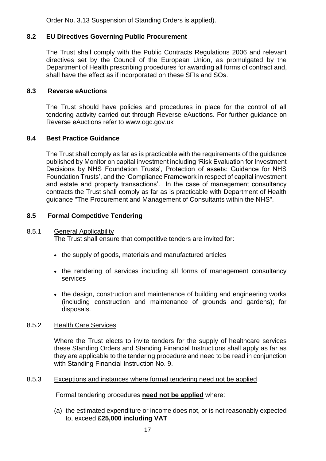Order No. 3.13 Suspension of Standing Orders is applied).

## **8.2 EU Directives Governing Public Procurement**

The Trust shall comply with the Public Contracts Regulations 2006 and relevant directives set by the Council of the European Union, as promulgated by the Department of Health prescribing procedures for awarding all forms of contract and, shall have the effect as if incorporated on these SFIs and SOs.

## **8.3 Reverse eAuctions**

The Trust should have policies and procedures in place for the control of all tendering activity carried out through Reverse eAuctions. For further guidance on Reverse eAuctions refer to www.ogc.gov.uk

## **8.4 Best Practice Guidance**

The Trust shall comply as far as is practicable with the requirements of the guidance published by Monitor on capital investment including 'Risk Evaluation for Investment Decisions by NHS Foundation Trusts', Protection of assets: Guidance for NHS Foundation Trusts', and the 'Compliance Framework in respect of capital investment and estate and property transactions'. In the case of management consultancy contracts the Trust shall comply as far as is practicable with Department of Health guidance "The Procurement and Management of Consultants within the NHS".

## **8.5 Formal Competitive Tendering**

#### 8.5.1 General Applicability

The Trust shall ensure that competitive tenders are invited for:

- the supply of goods, materials and manufactured articles
- the rendering of services including all forms of management consultancy services
- the design, construction and maintenance of building and engineering works (including construction and maintenance of grounds and gardens); for disposals.

## 8.5.2 Health Care Services

Where the Trust elects to invite tenders for the supply of healthcare services these Standing Orders and Standing Financial Instructions shall apply as far as they are applicable to the tendering procedure and need to be read in conjunction with Standing Financial Instruction No. 9.

## 8.5.3 Exceptions and instances where formal tendering need not be applied

Formal tendering procedures **need not be applied** where:

(a) the estimated expenditure or income does not, or is not reasonably expected to, exceed **£25,000 including VAT**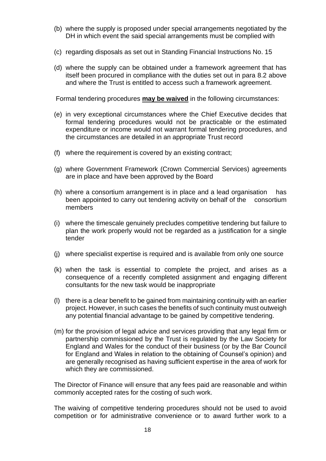- (b) where the supply is proposed under special arrangements negotiated by the DH in which event the said special arrangements must be complied with
- (c) regarding disposals as set out in Standing Financial Instructions No. 15
- (d) where the supply can be obtained under a framework agreement that has itself been procured in compliance with the duties set out in para 8.2 above and where the Trust is entitled to access such a framework agreement.

Formal tendering procedures **may be waived** in the following circumstances:

- (e) in very exceptional circumstances where the Chief Executive decides that formal tendering procedures would not be practicable or the estimated expenditure or income would not warrant formal tendering procedures, and the circumstances are detailed in an appropriate Trust record
- (f) where the requirement is covered by an existing contract;
- (g) where Government Framework (Crown Commercial Services) agreements are in place and have been approved by the Board
- (h) where a consortium arrangement is in place and a lead organisation has been appointed to carry out tendering activity on behalf of the consortium members
- (i) where the timescale genuinely precludes competitive tendering but failure to plan the work properly would not be regarded as a justification for a single tender
- (j) where specialist expertise is required and is available from only one source
- (k) when the task is essential to complete the project, and arises as a consequence of a recently completed assignment and engaging different consultants for the new task would be inappropriate
- (l) there is a clear benefit to be gained from maintaining continuity with an earlier project. However, in such cases the benefits of such continuity must outweigh any potential financial advantage to be gained by competitive tendering.
- (m) for the provision of legal advice and services providing that any legal firm or partnership commissioned by the Trust is regulated by the Law Society for England and Wales for the conduct of their business (or by the Bar Council for England and Wales in relation to the obtaining of Counsel's opinion) and are generally recognised as having sufficient expertise in the area of work for which they are commissioned.

The Director of Finance will ensure that any fees paid are reasonable and within commonly accepted rates for the costing of such work.

 The waiving of competitive tendering procedures should not be used to avoid competition or for administrative convenience or to award further work to a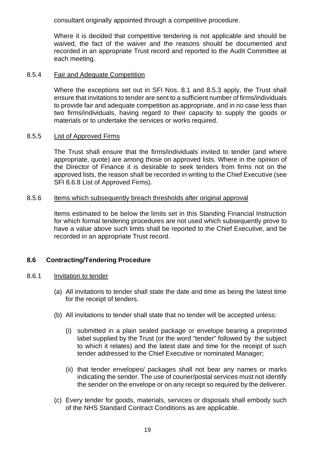consultant originally appointed through a competitive procedure.

 Where it is decided that competitive tendering is not applicable and should be waived, the fact of the waiver and the reasons should be documented and recorded in an appropriate Trust record and reported to the Audit Committee at each meeting.

## 8.5.4 Fair and Adequate Competition

Where the exceptions set out in SFI Nos. 8.1 and 8.5.3 apply, the Trust shall ensure that invitations to tender are sent to a sufficient number of firms/individuals to provide fair and adequate competition as appropriate, and in no case less than two firms/individuals, having regard to their capacity to supply the goods or materials or to undertake the services or works required.

## 8.5.5 List of Approved Firms

The Trust shall ensure that the firms/individuals invited to tender (and where appropriate, quote) are among those on approved lists. Where in the opinion of the Director of Finance it is desirable to seek tenders from firms not on the approved lists, the reason shall be recorded in writing to the Chief Executive (see SFI 8.6.8 List of Approved Firms).

## 8.5.6 Items which subsequently breach thresholds after original approval

Items estimated to be below the limits set in this Standing Financial Instruction for which formal tendering procedures are not used which subsequently prove to have a value above such limits shall be reported to the Chief Executive, and be recorded in an appropriate Trust record.

## **8.6 Contracting/Tendering Procedure**

## 8.6.1 Invitation to tender

- (a) All invitations to tender shall state the date and time as being the latest time for the receipt of tenders.
- (b) All invitations to tender shall state that no tender will be accepted unless:
	- (i) submitted in a plain sealed package or envelope bearing a preprinted label supplied by the Trust (or the word "tender" followed by the subject to which it relates) and the latest date and time for the receipt of such tender addressed to the Chief Executive or nominated Manager;
	- (ii) that tender envelopes/ packages shall not bear any names or marks indicating the sender. The use of courier/postal services must not identify the sender on the envelope or on any receipt so required by the deliverer.
- (c) Every tender for goods, materials, services or disposals shall embody such of the NHS Standard Contract Conditions as are applicable.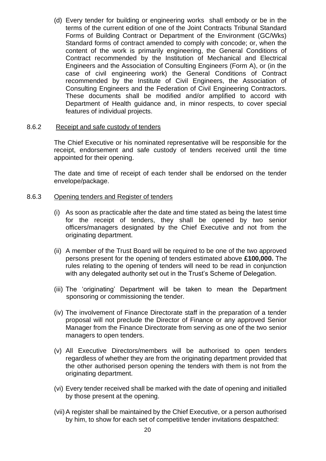(d) Every tender for building or engineering works shall embody or be in the terms of the current edition of one of the Joint Contracts Tribunal Standard Forms of Building Contract or Department of the Environment (GC/Wks) Standard forms of contract amended to comply with concode; or, when the content of the work is primarily engineering, the General Conditions of Contract recommended by the Institution of Mechanical and Electrical Engineers and the Association of Consulting Engineers (Form A), or (in the case of civil engineering work) the General Conditions of Contract recommended by the Institute of Civil Engineers, the Association of Consulting Engineers and the Federation of Civil Engineering Contractors. These documents shall be modified and/or amplified to accord with Department of Health guidance and, in minor respects, to cover special features of individual projects.

#### 8.6.2 Receipt and safe custody of tenders

 The Chief Executive or his nominated representative will be responsible for the receipt, endorsement and safe custody of tenders received until the time appointed for their opening.

The date and time of receipt of each tender shall be endorsed on the tender envelope/package.

#### 8.6.3 Opening tenders and Register of tenders

- (i) As soon as practicable after the date and time stated as being the latest time for the receipt of tenders, they shall be opened by two senior officers/managers designated by the Chief Executive and not from the originating department.
- (ii) A member of the Trust Board will be required to be one of the two approved persons present for the opening of tenders estimated above **£100,000.** The rules relating to the opening of tenders will need to be read in conjunction with any delegated authority set out in the Trust's Scheme of Delegation.
- (iii) The 'originating' Department will be taken to mean the Department sponsoring or commissioning the tender.
- (iv) The involvement of Finance Directorate staff in the preparation of a tender proposal will not preclude the Director of Finance or any approved Senior Manager from the Finance Directorate from serving as one of the two senior managers to open tenders.
- (v) All Executive Directors/members will be authorised to open tenders regardless of whether they are from the originating department provided that the other authorised person opening the tenders with them is not from the originating department.
- (vi) Every tender received shall be marked with the date of opening and initialled by those present at the opening.
- (vii)A register shall be maintained by the Chief Executive, or a person authorised by him, to show for each set of competitive tender invitations despatched: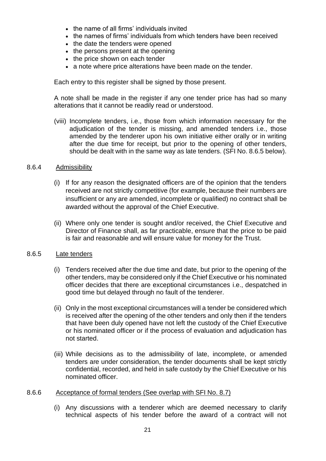- the name of all firms' individuals invited
- the names of firms' individuals from which tenders have been received
- the date the tenders were opened
- the persons present at the opening
- the price shown on each tender
- a note where price alterations have been made on the tender.

Each entry to this register shall be signed by those present.

 A note shall be made in the register if any one tender price has had so many alterations that it cannot be readily read or understood.

(viii) Incomplete tenders, i.e., those from which information necessary for the adjudication of the tender is missing, and amended tenders i.e., those amended by the tenderer upon his own initiative either orally or in writing after the due time for receipt, but prior to the opening of other tenders, should be dealt with in the same way as late tenders. (SFI No. 8.6.5 below).

## 8.6.4 Admissibility

- (i) If for any reason the designated officers are of the opinion that the tenders received are not strictly competitive (for example, because their numbers are insufficient or any are amended, incomplete or qualified) no contract shall be awarded without the approval of the Chief Executive.
- (ii) Where only one tender is sought and/or received, the Chief Executive and Director of Finance shall, as far practicable, ensure that the price to be paid is fair and reasonable and will ensure value for money for the Trust.

## 8.6.5 Late tenders

- (i) Tenders received after the due time and date, but prior to the opening of the other tenders, may be considered only if the Chief Executive or his nominated officer decides that there are exceptional circumstances i.e., despatched in good time but delayed through no fault of the tenderer.
- (ii) Only in the most exceptional circumstances will a tender be considered which is received after the opening of the other tenders and only then if the tenders that have been duly opened have not left the custody of the Chief Executive or his nominated officer or if the process of evaluation and adjudication has not started.
- (iii) While decisions as to the admissibility of late, incomplete, or amended tenders are under consideration, the tender documents shall be kept strictly confidential, recorded, and held in safe custody by the Chief Executive or his nominated officer.
- 8.6.6 Acceptance of formal tenders (See overlap with SFI No. 8.7)
	- (i) Any discussions with a tenderer which are deemed necessary to clarify technical aspects of his tender before the award of a contract will not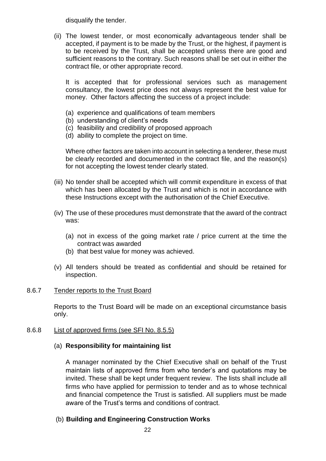disqualify the tender.

(ii) The lowest tender, or most economically advantageous tender shall be accepted, if payment is to be made by the Trust, or the highest, if payment is to be received by the Trust, shall be accepted unless there are good and sufficient reasons to the contrary. Such reasons shall be set out in either the contract file, or other appropriate record.

It is accepted that for professional services such as management consultancy, the lowest price does not always represent the best value for money. Other factors affecting the success of a project include:

- (a) experience and qualifications of team members
- (b) understanding of client's needs
- (c) feasibility and credibility of proposed approach
- (d) ability to complete the project on time.

 Where other factors are taken into account in selecting a tenderer, these must be clearly recorded and documented in the contract file, and the reason(s) for not accepting the lowest tender clearly stated.

- (iii) No tender shall be accepted which will commit expenditure in excess of that which has been allocated by the Trust and which is not in accordance with these Instructions except with the authorisation of the Chief Executive.
- (iv) The use of these procedures must demonstrate that the award of the contract was:
	- (a) not in excess of the going market rate / price current at the time the contract was awarded
	- (b) that best value for money was achieved.
- (v) All tenders should be treated as confidential and should be retained for inspection.

## 8.6.7 Tender reports to the Trust Board

Reports to the Trust Board will be made on an exceptional circumstance basis only.

#### 8.6.8 List of approved firms (see SFI No. 8.5.5)

#### (a) **Responsibility for maintaining list**

A manager nominated by the Chief Executive shall on behalf of the Trust maintain lists of approved firms from who tender's and quotations may be invited. These shall be kept under frequent review. The lists shall include all firms who have applied for permission to tender and as to whose technical and financial competence the Trust is satisfied. All suppliers must be made aware of the Trust's terms and conditions of contract.

## (b) **Building and Engineering Construction Works**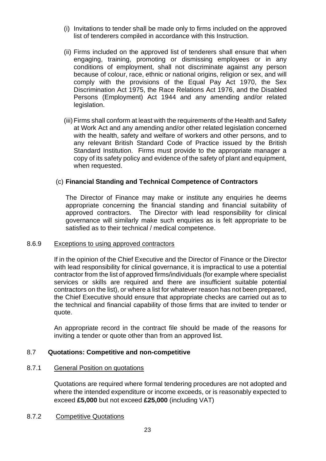- (i) Invitations to tender shall be made only to firms included on the approved list of tenderers compiled in accordance with this Instruction.
- (ii) Firms included on the approved list of tenderers shall ensure that when engaging, training, promoting or dismissing employees or in any conditions of employment, shall not discriminate against any person because of colour, race, ethnic or national origins, religion or sex, and will comply with the provisions of the Equal Pay Act 1970, the Sex Discrimination Act 1975, the Race Relations Act 1976, and the Disabled Persons (Employment) Act 1944 and any amending and/or related legislation.
- (iii)Firms shall conform at least with the requirements of the Health and Safety at Work Act and any amending and/or other related legislation concerned with the health, safety and welfare of workers and other persons, and to any relevant British Standard Code of Practice issued by the British Standard Institution. Firms must provide to the appropriate manager a copy of its safety policy and evidence of the safety of plant and equipment, when requested.

## (c) **Financial Standing and Technical Competence of Contractors**

 The Director of Finance may make or institute any enquiries he deems appropriate concerning the financial standing and financial suitability of approved contractors. The Director with lead responsibility for clinical governance will similarly make such enquiries as is felt appropriate to be satisfied as to their technical / medical competence.

#### 8.6.9 Exceptions to using approved contractors

If in the opinion of the Chief Executive and the Director of Finance or the Director with lead responsibility for clinical governance, it is impractical to use a potential contractor from the list of approved firms/individuals (for example where specialist services or skills are required and there are insufficient suitable potential contractors on the list), or where a list for whatever reason has not been prepared, the Chief Executive should ensure that appropriate checks are carried out as to the technical and financial capability of those firms that are invited to tender or quote.

An appropriate record in the contract file should be made of the reasons for inviting a tender or quote other than from an approved list.

## 8.7 **Quotations: Competitive and non-competitive**

#### 8.7.1 General Position on quotations

Quotations are required where formal tendering procedures are not adopted and where the intended expenditure or income exceeds, or is reasonably expected to exceed **£5,000** but not exceed **£25,000** (including VAT)

#### 8.7.2 Competitive Quotations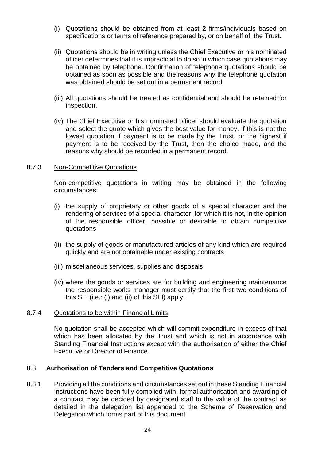- (i) Quotations should be obtained from at least **2** firms/individuals based on specifications or terms of reference prepared by, or on behalf of, the Trust.
- (ii) Quotations should be in writing unless the Chief Executive or his nominated officer determines that it is impractical to do so in which case quotations may be obtained by telephone. Confirmation of telephone quotations should be obtained as soon as possible and the reasons why the telephone quotation was obtained should be set out in a permanent record.
- (iii) All quotations should be treated as confidential and should be retained for inspection.
- (iv) The Chief Executive or his nominated officer should evaluate the quotation and select the quote which gives the best value for money. If this is not the lowest quotation if payment is to be made by the Trust, or the highest if payment is to be received by the Trust, then the choice made, and the reasons why should be recorded in a permanent record.

#### 8.7.3 Non-Competitive Quotations

Non-competitive quotations in writing may be obtained in the following circumstances:

- (i) the supply of proprietary or other goods of a special character and the rendering of services of a special character, for which it is not, in the opinion of the responsible officer, possible or desirable to obtain competitive quotations
- (ii) the supply of goods or manufactured articles of any kind which are required quickly and are not obtainable under existing contracts
- (iii) miscellaneous services, supplies and disposals
- (iv) where the goods or services are for building and engineering maintenance the responsible works manager must certify that the first two conditions of this SFI (i.e.: (i) and (ii) of this SFI) apply.

#### 8.7.4 Quotations to be within Financial Limits

 No quotation shall be accepted which will commit expenditure in excess of that which has been allocated by the Trust and which is not in accordance with Standing Financial Instructions except with the authorisation of either the Chief Executive or Director of Finance.

#### 8.8 **Authorisation of Tenders and Competitive Quotations**

8.8.1 Providing all the conditions and circumstances set out in these Standing Financial Instructions have been fully complied with, formal authorisation and awarding of a contract may be decided by designated staff to the value of the contract as detailed in the delegation list appended to the Scheme of Reservation and Delegation which forms part of this document.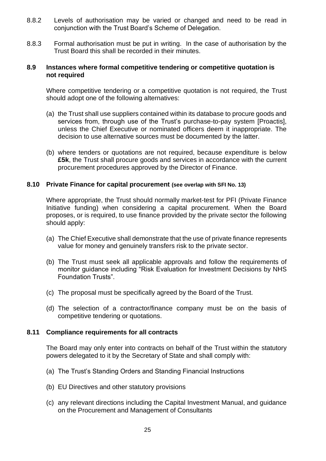- 8.8.2 Levels of authorisation may be varied or changed and need to be read in conjunction with the Trust Board's Scheme of Delegation.
- 8.8.3 Formal authorisation must be put in writing. In the case of authorisation by the Trust Board this shall be recorded in their minutes.

#### **8.9 Instances where formal competitive tendering or competitive quotation is not required**

 Where competitive tendering or a competitive quotation is not required, the Trust should adopt one of the following alternatives:

- (a) the Trust shall use suppliers contained within its database to procure goods and services from, through use of the Trust's purchase-to-pay system [Proactis], unless the Chief Executive or nominated officers deem it inappropriate. The decision to use alternative sources must be documented by the latter.
- (b) where tenders or quotations are not required, because expenditure is below **£5k**, the Trust shall procure goods and services in accordance with the current procurement procedures approved by the Director of Finance.

## **8.10 Private Finance for capital procurement (see overlap with SFI No. 13)**

Where appropriate, the Trust should normally market-test for PFI (Private Finance Initiative funding) when considering a capital procurement. When the Board proposes, or is required, to use finance provided by the private sector the following should apply:

- (a) The Chief Executive shall demonstrate that the use of private finance represents value for money and genuinely transfers risk to the private sector.
- (b) The Trust must seek all applicable approvals and follow the requirements of monitor guidance including "Risk Evaluation for Investment Decisions by NHS Foundation Trusts".
- (c) The proposal must be specifically agreed by the Board of the Trust.
- (d) The selection of a contractor/finance company must be on the basis of competitive tendering or quotations.

#### **8.11 Compliance requirements for all contracts**

 The Board may only enter into contracts on behalf of the Trust within the statutory powers delegated to it by the Secretary of State and shall comply with:

- (a) The Trust's Standing Orders and Standing Financial Instructions
- (b) EU Directives and other statutory provisions
- (c) any relevant directions including the Capital Investment Manual, and guidance on the Procurement and Management of Consultants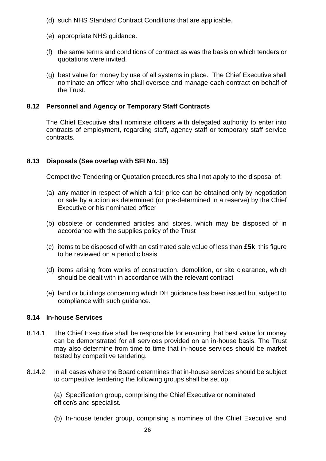- (d) such NHS Standard Contract Conditions that are applicable.
- (e) appropriate NHS guidance.
- (f) the same terms and conditions of contract as was the basis on which tenders or quotations were invited.
- (g) best value for money by use of all systems in place. The Chief Executive shall nominate an officer who shall oversee and manage each contract on behalf of the Trust.

## **8.12 Personnel and Agency or Temporary Staff Contracts**

 The Chief Executive shall nominate officers with delegated authority to enter into contracts of employment, regarding staff, agency staff or temporary staff service contracts.

## **8.13 Disposals (See overlap with SFI No. 15)**

Competitive Tendering or Quotation procedures shall not apply to the disposal of:

- (a) any matter in respect of which a fair price can be obtained only by negotiation or sale by auction as determined (or pre-determined in a reserve) by the Chief Executive or his nominated officer
- (b) obsolete or condemned articles and stores, which may be disposed of in accordance with the supplies policy of the Trust
- (c) items to be disposed of with an estimated sale value of less than **£5k**, this figure to be reviewed on a periodic basis
- (d) items arising from works of construction, demolition, or site clearance, which should be dealt with in accordance with the relevant contract
- (e) land or buildings concerning which DH guidance has been issued but subject to compliance with such guidance.

## **8.14 In-house Services**

- 8.14.1 The Chief Executive shall be responsible for ensuring that best value for money can be demonstrated for all services provided on an in-house basis. The Trust may also determine from time to time that in-house services should be market tested by competitive tendering.
- 8.14.2 In all cases where the Board determines that in-house services should be subject to competitive tendering the following groups shall be set up:

(a) Specification group, comprising the Chief Executive or nominated officer/s and specialist.

(b) In-house tender group, comprising a nominee of the Chief Executive and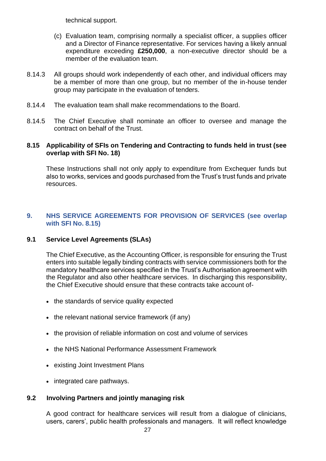technical support.

- (c) Evaluation team, comprising normally a specialist officer, a supplies officer and a Director of Finance representative. For services having a likely annual expenditure exceeding **£250,000**, a non-executive director should be a member of the evaluation team.
- 8.14.3 All groups should work independently of each other, and individual officers may be a member of more than one group, but no member of the in-house tender group may participate in the evaluation of tenders.
- 8.14.4 The evaluation team shall make recommendations to the Board.
- 8.14.5 The Chief Executive shall nominate an officer to oversee and manage the contract on behalf of the Trust.

## **8.15 Applicability of SFIs on Tendering and Contracting to funds held in trust (see overlap with SFI No. 18)**

These Instructions shall not only apply to expenditure from Exchequer funds but also to works, services and goods purchased from the Trust's trust funds and private resources.

## <span id="page-26-0"></span>**9. NHS SERVICE AGREEMENTS FOR PROVISION OF SERVICES (see overlap with SFI No. 8.15)**

## **9.1 Service Level Agreements (SLAs)**

The Chief Executive, as the Accounting Officer, is responsible for ensuring the Trust enters into suitable legally binding contracts with service commissioners both for the mandatory healthcare services specified in the Trust's Authorisation agreement with the Regulator and also other healthcare services. In discharging this responsibility, the Chief Executive should ensure that these contracts take account of-

- the standards of service quality expected
- the relevant national service framework (if any)
- the provision of reliable information on cost and volume of services
- the NHS National Performance Assessment Framework
- existing Joint Investment Plans
- integrated care pathways.

## **9.2 Involving Partners and jointly managing risk**

A good contract for healthcare services will result from a dialogue of clinicians, users, carers', public health professionals and managers. It will reflect knowledge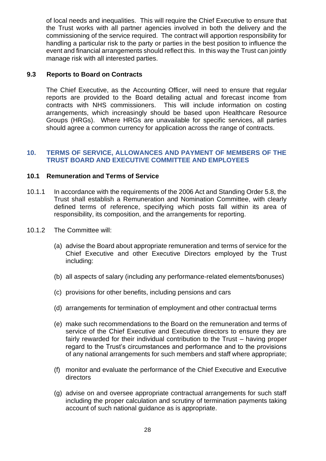of local needs and inequalities. This will require the Chief Executive to ensure that the Trust works with all partner agencies involved in both the delivery and the commissioning of the service required. The contract will apportion responsibility for handling a particular risk to the party or parties in the best position to influence the event and financial arrangements should reflect this. In this way the Trust can jointly manage risk with all interested parties.

## **9.3 Reports to Board on Contracts**

The Chief Executive, as the Accounting Officer, will need to ensure that regular reports are provided to the Board detailing actual and forecast income from contracts with NHS commissioners. This will include information on costing arrangements, which increasingly should be based upon Healthcare Resource Groups (HRGs). Where HRGs are unavailable for specific services, all parties should agree a common currency for application across the range of contracts.

#### <span id="page-27-0"></span>**10. TERMS OF SERVICE, ALLOWANCES AND PAYMENT OF MEMBERS OF THE TRUST BOARD AND EXECUTIVE COMMITTEE AND EMPLOYEES**

## **10.1 Remuneration and Terms of Service**

- 10.1.1 In accordance with the requirements of the 2006 Act and Standing Order 5.8, the Trust shall establish a Remuneration and Nomination Committee, with clearly defined terms of reference, specifying which posts fall within its area of responsibility, its composition, and the arrangements for reporting.
- 10.1.2 The Committee will:
	- (a) advise the Board about appropriate remuneration and terms of service for the Chief Executive and other Executive Directors employed by the Trust including:
	- (b) all aspects of salary (including any performance-related elements/bonuses)
	- (c) provisions for other benefits, including pensions and cars
	- (d) arrangements for termination of employment and other contractual terms
	- (e) make such recommendations to the Board on the remuneration and terms of service of the Chief Executive and Executive directors to ensure they are fairly rewarded for their individual contribution to the Trust – having proper regard to the Trust's circumstances and performance and to the provisions of any national arrangements for such members and staff where appropriate;
	- (f) monitor and evaluate the performance of the Chief Executive and Executive directors
	- (g) advise on and oversee appropriate contractual arrangements for such staff including the proper calculation and scrutiny of termination payments taking account of such national guidance as is appropriate.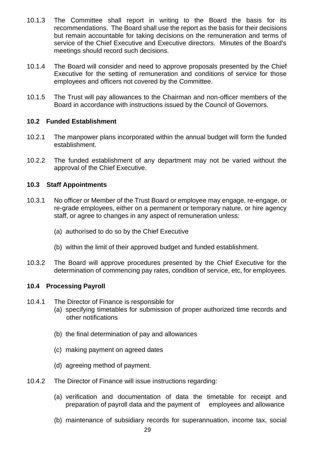- 10.1.3 The Committee shall report in writing to the Board the basis for its recommendations. The Board shall use the report as the basis for their decisions but remain accountable for taking decisions on the remuneration and terms of service of the Chief Executive and Executive directors. Minutes of the Board's meetings should record such decisions.
- 10.1.4 The Board will consider and need to approve proposals presented by the Chief Executive for the setting of remuneration and conditions of service for those employees and officers not covered by the Committee.
- 10.1.5 The Trust will pay allowances to the Chairman and non-officer members of the Board in accordance with instructions issued by the Council of Governors.

## **10.2 Funded Establishment**

- 10.2.1 The manpower plans incorporated within the annual budget will form the funded establishment.
- 10.2.2 The funded establishment of any department may not be varied without the approval of the Chief Executive.

## **10.3 Staff Appointments**

- 10.3.1 No officer or Member of the Trust Board or employee may engage, re-engage, or re-grade employees, either on a permanent or temporary nature, or hire agency staff, or agree to changes in any aspect of remuneration unless:
	- (a) authorised to do so by the Chief Executive
	- (b) within the limit of their approved budget and funded establishment.
- 10.3.2 The Board will approve procedures presented by the Chief Executive for the determination of commencing pay rates, condition of service, etc, for employees.

## **10.4 Processing Payroll**

- 10.4.1 The Director of Finance is responsible for
	- (a) specifying timetables for submission of proper authorized time records and other notifications
	- (b) the final determination of pay and allowances
	- (c) making payment on agreed dates
	- (d) agreeing method of payment.
- 10.4.2 The Director of Finance will issue instructions regarding:
	- (a) verification and documentation of data the timetable for receipt and preparation of payroll data and the payment of employees and allowance
	- (b) maintenance of subsidiary records for superannuation, income tax, social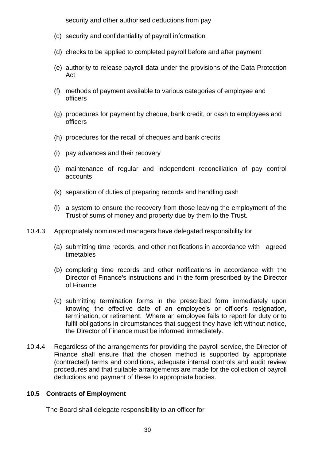security and other authorised deductions from pay

- (c) security and confidentiality of payroll information
- (d) checks to be applied to completed payroll before and after payment
- (e) authority to release payroll data under the provisions of the Data Protection Act
- (f) methods of payment available to various categories of employee and officers
- (g) procedures for payment by cheque, bank credit, or cash to employees and officers
- (h) procedures for the recall of cheques and bank credits
- (i) pay advances and their recovery
- (j) maintenance of regular and independent reconciliation of pay control accounts
- (k) separation of duties of preparing records and handling cash
- (l) a system to ensure the recovery from those leaving the employment of the Trust of sums of money and property due by them to the Trust.
- 10.4.3 Appropriately nominated managers have delegated responsibility for
	- (a) submitting time records, and other notifications in accordance with agreed timetables
	- (b) completing time records and other notifications in accordance with the Director of Finance's instructions and in the form prescribed by the Director of Finance
	- (c) submitting termination forms in the prescribed form immediately upon knowing the effective date of an employee's or officer's resignation, termination, or retirement. Where an employee fails to report for duty or to fulfil obligations in circumstances that suggest they have left without notice, the Director of Finance must be informed immediately.
- 10.4.4 Regardless of the arrangements for providing the payroll service, the Director of Finance shall ensure that the chosen method is supported by appropriate (contracted) terms and conditions, adequate internal controls and audit review procedures and that suitable arrangements are made for the collection of payroll deductions and payment of these to appropriate bodies.

## **10.5 Contracts of Employment**

The Board shall delegate responsibility to an officer for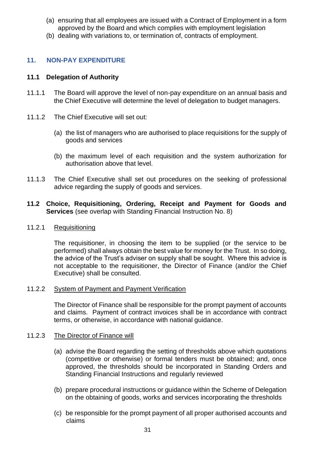- (a) ensuring that all employees are issued with a Contract of Employment in a form approved by the Board and which complies with employment legislation
- (b) dealing with variations to, or termination of, contracts of employment.

## <span id="page-30-0"></span>**11. NON-PAY EXPENDITURE**

## **11.1 Delegation of Authority**

- 11.1.1 The Board will approve the level of non-pay expenditure on an annual basis and the Chief Executive will determine the level of delegation to budget managers.
- 11.1.2 The Chief Executive will set out:
	- (a) the list of managers who are authorised to place requisitions for the supply of goods and services
	- (b) the maximum level of each requisition and the system authorization for authorisation above that level.
- 11.1.3 The Chief Executive shall set out procedures on the seeking of professional advice regarding the supply of goods and services.

## **11.2 Choice, Requisitioning, Ordering, Receipt and Payment for Goods and Services** (see overlap with Standing Financial Instruction No. 8)

#### 11.2.1 Requisitioning

The requisitioner, in choosing the item to be supplied (or the service to be performed) shall always obtain the best value for money for the Trust. In so doing, the advice of the Trust's adviser on supply shall be sought. Where this advice is not acceptable to the requisitioner, the Director of Finance (and/or the Chief Executive) shall be consulted.

## 11.2.2 System of Payment and Payment Verification

The Director of Finance shall be responsible for the prompt payment of accounts and claims. Payment of contract invoices shall be in accordance with contract terms, or otherwise, in accordance with national guidance.

## 11.2.3 The Director of Finance will

- (a) advise the Board regarding the setting of thresholds above which quotations (competitive or otherwise) or formal tenders must be obtained; and, once approved, the thresholds should be incorporated in Standing Orders and Standing Financial Instructions and regularly reviewed
- (b) prepare procedural instructions or guidance within the Scheme of Delegation on the obtaining of goods, works and services incorporating the thresholds
- (c) be responsible for the prompt payment of all proper authorised accounts and claims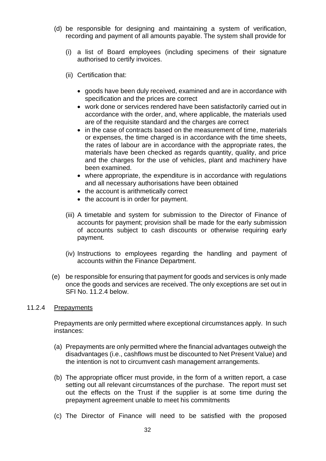- (d) be responsible for designing and maintaining a system of verification, recording and payment of all amounts payable. The system shall provide for
	- (i) a list of Board employees (including specimens of their signature authorised to certify invoices.
	- (ii) Certification that:
		- goods have been duly received, examined and are in accordance with specification and the prices are correct
		- work done or services rendered have been satisfactorily carried out in accordance with the order, and, where applicable, the materials used are of the requisite standard and the charges are correct
		- in the case of contracts based on the measurement of time, materials or expenses, the time charged is in accordance with the time sheets, the rates of labour are in accordance with the appropriate rates, the materials have been checked as regards quantity, quality, and price and the charges for the use of vehicles, plant and machinery have been examined.
		- where appropriate, the expenditure is in accordance with regulations and all necessary authorisations have been obtained
		- the account is arithmetically correct
		- the account is in order for payment.
	- (iii) A timetable and system for submission to the Director of Finance of accounts for payment; provision shall be made for the early submission of accounts subject to cash discounts or otherwise requiring early payment.
	- (iv) Instructions to employees regarding the handling and payment of accounts within the Finance Department.
- (e) be responsible for ensuring that payment for goods and services is only made once the goods and services are received. The only exceptions are set out in SFI No. 11.2.4 below.

#### 11.2.4 Prepayments

Prepayments are only permitted where exceptional circumstances apply. In such instances:

- (a) Prepayments are only permitted where the financial advantages outweigh the disadvantages (i.e., cashflows must be discounted to Net Present Value) and the intention is not to circumvent cash management arrangements.
- (b) The appropriate officer must provide, in the form of a written report, a case setting out all relevant circumstances of the purchase. The report must set out the effects on the Trust if the supplier is at some time during the prepayment agreement unable to meet his commitments
- (c) The Director of Finance will need to be satisfied with the proposed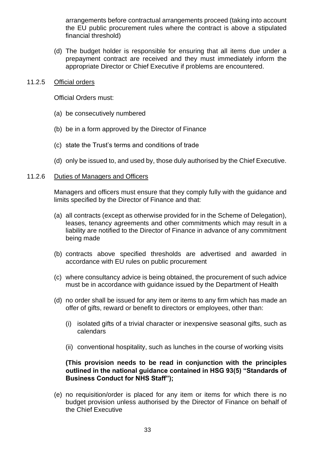arrangements before contractual arrangements proceed (taking into account the EU public procurement rules where the contract is above a stipulated financial threshold)

(d) The budget holder is responsible for ensuring that all items due under a prepayment contract are received and they must immediately inform the appropriate Director or Chief Executive if problems are encountered.

#### 11.2.5 Official orders

Official Orders must:

- (a) be consecutively numbered
- (b) be in a form approved by the Director of Finance
- (c) state the Trust's terms and conditions of trade
- (d) only be issued to, and used by, those duly authorised by the Chief Executive.

#### 11.2.6 Duties of Managers and Officers

Managers and officers must ensure that they comply fully with the guidance and limits specified by the Director of Finance and that:

- (a) all contracts (except as otherwise provided for in the Scheme of Delegation), leases, tenancy agreements and other commitments which may result in a liability are notified to the Director of Finance in advance of any commitment being made
- (b) contracts above specified thresholds are advertised and awarded in accordance with EU rules on public procurement
- (c) where consultancy advice is being obtained, the procurement of such advice must be in accordance with guidance issued by the Department of Health
- (d) no order shall be issued for any item or items to any firm which has made an offer of gifts, reward or benefit to directors or employees, other than:
	- (i) isolated gifts of a trivial character or inexpensive seasonal gifts, such as calendars
	- (ii) conventional hospitality, such as lunches in the course of working visits

## **(This provision needs to be read in conjunction with the principles outlined in the national guidance contained in HSG 93(5) "Standards of Business Conduct for NHS Staff");**

(e) no requisition/order is placed for any item or items for which there is no budget provision unless authorised by the Director of Finance on behalf of the Chief Executive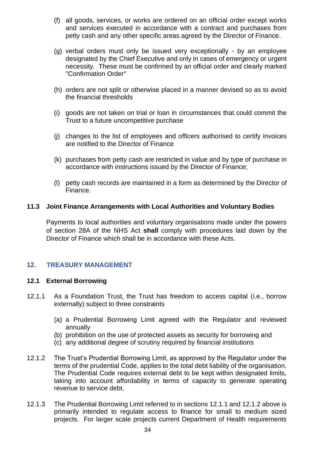- (f) all goods, services, or works are ordered on an official order except works and services executed in accordance with a contract and purchases from petty cash and any other specific areas agreed by the Director of Finance.
- (g) verbal orders must only be issued very exceptionally by an employee designated by the Chief Executive and only in cases of emergency or urgent necessity. These must be confirmed by an official order and clearly marked "Confirmation Order"
- (h) orders are not split or otherwise placed in a manner devised so as to avoid the financial thresholds
- (i) goods are not taken on trial or loan in circumstances that could commit the Trust to a future uncompetitive purchase
- (j) changes to the list of employees and officers authorised to certify invoices are notified to the Director of Finance
- (k) purchases from petty cash are restricted in value and by type of purchase in accordance with instructions issued by the Director of Finance;
- (l) petty cash records are maintained in a form as determined by the Director of Finance.

## **11.3 Joint Finance Arrangements with Local Authorities and Voluntary Bodies**

Payments to local authorities and voluntary organisations made under the powers of section 28A of the NHS Act **shall** comply with procedures laid down by the Director of Finance which shall be in accordance with these Acts.

## <span id="page-33-0"></span>**12. TREASURY MANAGEMENT**

## **12.1 External Borrowing**

- 12.1.1 As a Foundation Trust, the Trust has freedom to access capital (i.e., borrow externally) subject to three constraints
	- (a) a Prudential Borrowing Limit agreed with the Regulator and reviewed annually
	- (b) prohibition on the use of protected assets as security for borrowing and
	- (c) any additional degree of scrutiny required by financial institutions
- 12.1.2 The Trust's Prudential Borrowing Limit, as approved by the Regulator under the terms of the prudential Code, applies to the total debt liability of the organisation. The Prudential Code requires external debt to be kept within designated limits, taking into account affordability in terms of capacity to generate operating revenue to service debt.
- 12.1.3 The Prudential Borrowing Limit referred to in sections 12.1.1 and 12.1.2 above is primarily intended to regulate access to finance for small to medium sized projects. For larger scale projects current Department of Health requirements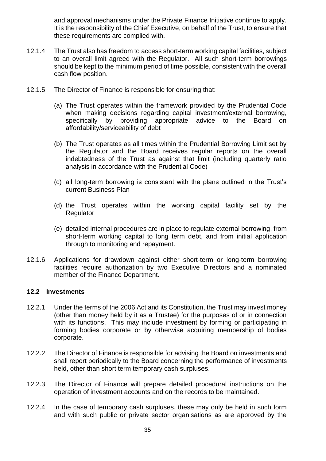and approval mechanisms under the Private Finance Initiative continue to apply. It is the responsibility of the Chief Executive, on behalf of the Trust, to ensure that these requirements are complied with.

- 12.1.4 The Trust also has freedom to access short-term working capital facilities, subject to an overall limit agreed with the Regulator. All such short-term borrowings should be kept to the minimum period of time possible, consistent with the overall cash flow position.
- 12.1.5 The Director of Finance is responsible for ensuring that:
	- (a) The Trust operates within the framework provided by the Prudential Code when making decisions regarding capital investment/external borrowing, specifically by providing appropriate advice to the Board on affordability/serviceability of debt
	- (b) The Trust operates as all times within the Prudential Borrowing Limit set by the Regulator and the Board receives regular reports on the overall indebtedness of the Trust as against that limit (including quarterly ratio analysis in accordance with the Prudential Code)
	- (c) all long-term borrowing is consistent with the plans outlined in the Trust's current Business Plan
	- (d) the Trust operates within the working capital facility set by the **Regulator**
	- (e) detailed internal procedures are in place to regulate external borrowing, from short-term working capital to long term debt, and from initial application through to monitoring and repayment.
- 12.1.6 Applications for drawdown against either short-term or long-term borrowing facilities require authorization by two Executive Directors and a nominated member of the Finance Department.

## **12.2 Investments**

- 12.2.1 Under the terms of the 2006 Act and its Constitution, the Trust may invest money (other than money held by it as a Trustee) for the purposes of or in connection with its functions. This may include investment by forming or participating in forming bodies corporate or by otherwise acquiring membership of bodies corporate.
- 12.2.2 The Director of Finance is responsible for advising the Board on investments and shall report periodically to the Board concerning the performance of investments held, other than short term temporary cash surpluses.
- 12.2.3 The Director of Finance will prepare detailed procedural instructions on the operation of investment accounts and on the records to be maintained.
- 12.2.4 In the case of temporary cash surpluses, these may only be held in such form and with such public or private sector organisations as are approved by the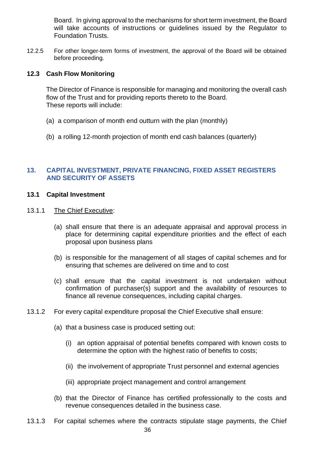Board. In giving approval to the mechanisms for short term investment, the Board will take accounts of instructions or quidelines issued by the Regulator to Foundation Trusts.

12.2.5 For other longer-term forms of investment, the approval of the Board will be obtained before proceeding.

## **12.3 Cash Flow Monitoring**

The Director of Finance is responsible for managing and monitoring the overall cash flow of the Trust and for providing reports thereto to the Board. These reports will include:

- (a) a comparison of month end outturn with the plan (monthly)
- (b) a rolling 12-month projection of month end cash balances (quarterly)

## <span id="page-35-0"></span>**13. CAPITAL INVESTMENT, PRIVATE FINANCING, FIXED ASSET REGISTERS AND SECURITY OF ASSETS**

## **13.1 Capital Investment**

- 13.1.1 The Chief Executive:
	- (a) shall ensure that there is an adequate appraisal and approval process in place for determining capital expenditure priorities and the effect of each proposal upon business plans
	- (b) is responsible for the management of all stages of capital schemes and for ensuring that schemes are delivered on time and to cost
	- (c) shall ensure that the capital investment is not undertaken without confirmation of purchaser(s) support and the availability of resources to finance all revenue consequences, including capital charges.
- 13.1.2 For every capital expenditure proposal the Chief Executive shall ensure:
	- (a) that a business case is produced setting out:
		- (i) an option appraisal of potential benefits compared with known costs to determine the option with the highest ratio of benefits to costs;
		- (ii) the involvement of appropriate Trust personnel and external agencies
		- (iii) appropriate project management and control arrangement
	- (b) that the Director of Finance has certified professionally to the costs and revenue consequences detailed in the business case.
- 36 13.1.3 For capital schemes where the contracts stipulate stage payments, the Chief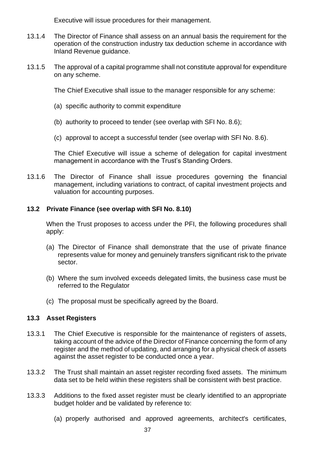Executive will issue procedures for their management.

- 13.1.4 The Director of Finance shall assess on an annual basis the requirement for the operation of the construction industry tax deduction scheme in accordance with Inland Revenue guidance.
- 13.1.5 The approval of a capital programme shall not constitute approval for expenditure on any scheme.

The Chief Executive shall issue to the manager responsible for any scheme:

- (a) specific authority to commit expenditure
- (b) authority to proceed to tender (see overlap with SFI No. 8.6);
- (c) approval to accept a successful tender (see overlap with SFI No. 8.6).

The Chief Executive will issue a scheme of delegation for capital investment management in accordance with the Trust's Standing Orders.

13.1.6 The Director of Finance shall issue procedures governing the financial management, including variations to contract, of capital investment projects and valuation for accounting purposes.

## **13.2 Private Finance (see overlap with SFI No. 8.10)**

When the Trust proposes to access under the PFI, the following procedures shall apply:

- (a) The Director of Finance shall demonstrate that the use of private finance represents value for money and genuinely transfers significant risk to the private sector.
- (b) Where the sum involved exceeds delegated limits, the business case must be referred to the Regulator
- (c) The proposal must be specifically agreed by the Board.

## **13.3 Asset Registers**

- 13.3.1 The Chief Executive is responsible for the maintenance of registers of assets, taking account of the advice of the Director of Finance concerning the form of any register and the method of updating, and arranging for a physical check of assets against the asset register to be conducted once a year.
- 13.3.2 The Trust shall maintain an asset register recording fixed assets. The minimum data set to be held within these registers shall be consistent with best practice.
- 13.3.3 Additions to the fixed asset register must be clearly identified to an appropriate budget holder and be validated by reference to:
	- (a) properly authorised and approved agreements, architect's certificates,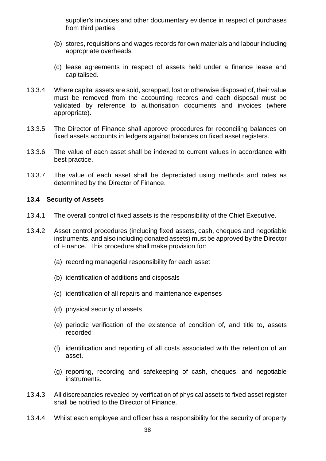supplier's invoices and other documentary evidence in respect of purchases from third parties

- (b) stores, requisitions and wages records for own materials and labour including appropriate overheads
- (c) lease agreements in respect of assets held under a finance lease and capitalised.
- 13.3.4 Where capital assets are sold, scrapped, lost or otherwise disposed of, their value must be removed from the accounting records and each disposal must be validated by reference to authorisation documents and invoices (where appropriate).
- 13.3.5 The Director of Finance shall approve procedures for reconciling balances on fixed assets accounts in ledgers against balances on fixed asset registers.
- 13.3.6 The value of each asset shall be indexed to current values in accordance with best practice.
- 13.3.7 The value of each asset shall be depreciated using methods and rates as determined by the Director of Finance.

## **13.4 Security of Assets**

- 13.4.1 The overall control of fixed assets is the responsibility of the Chief Executive.
- 13.4.2 Asset control procedures (including fixed assets, cash, cheques and negotiable instruments, and also including donated assets) must be approved by the Director of Finance. This procedure shall make provision for:
	- (a) recording managerial responsibility for each asset
	- (b) identification of additions and disposals
	- (c) identification of all repairs and maintenance expenses
	- (d) physical security of assets
	- (e) periodic verification of the existence of condition of, and title to, assets recorded
	- (f) identification and reporting of all costs associated with the retention of an asset.
	- (g) reporting, recording and safekeeping of cash, cheques, and negotiable instruments.
- 13.4.3 All discrepancies revealed by verification of physical assets to fixed asset register shall be notified to the Director of Finance.
- 13.4.4 Whilst each employee and officer has a responsibility for the security of property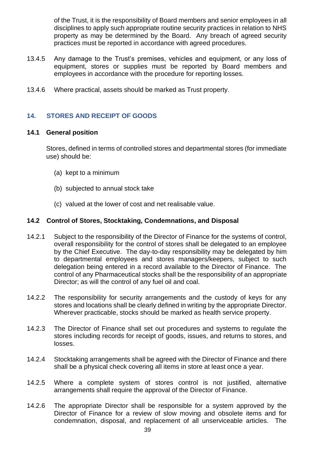of the Trust, it is the responsibility of Board members and senior employees in all disciplines to apply such appropriate routine security practices in relation to NHS property as may be determined by the Board. Any breach of agreed security practices must be reported in accordance with agreed procedures.

- 13.4.5 Any damage to the Trust's premises, vehicles and equipment, or any loss of equipment, stores or supplies must be reported by Board members and employees in accordance with the procedure for reporting losses.
- 13.4.6 Where practical, assets should be marked as Trust property.

## <span id="page-38-0"></span>**14. STORES AND RECEIPT OF GOODS**

#### **14.1 General position**

Stores, defined in terms of controlled stores and departmental stores (for immediate use) should be:

- (a) kept to a minimum
- (b) subjected to annual stock take
- (c) valued at the lower of cost and net realisable value.

## **14.2 Control of Stores, Stocktaking, Condemnations, and Disposal**

- 14.2.1 Subject to the responsibility of the Director of Finance for the systems of control, overall responsibility for the control of stores shall be delegated to an employee by the Chief Executive. The day-to-day responsibility may be delegated by him to departmental employees and stores managers/keepers, subject to such delegation being entered in a record available to the Director of Finance. The control of any Pharmaceutical stocks shall be the responsibility of an appropriate Director; as will the control of any fuel oil and coal.
- 14.2.2 The responsibility for security arrangements and the custody of keys for any stores and locations shall be clearly defined in writing by the appropriate Director. Wherever practicable, stocks should be marked as health service property.
- 14.2.3 The Director of Finance shall set out procedures and systems to regulate the stores including records for receipt of goods, issues, and returns to stores, and losses.
- 14.2.4 Stocktaking arrangements shall be agreed with the Director of Finance and there shall be a physical check covering all items in store at least once a year.
- 14.2.5 Where a complete system of stores control is not justified, alternative arrangements shall require the approval of the Director of Finance.
- 14.2.6 The appropriate Director shall be responsible for a system approved by the Director of Finance for a review of slow moving and obsolete items and for condemnation, disposal, and replacement of all unserviceable articles. The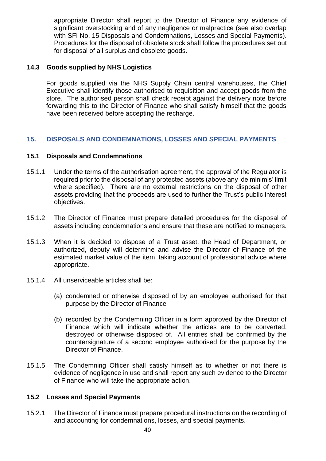appropriate Director shall report to the Director of Finance any evidence of significant overstocking and of any negligence or malpractice (see also overlap with SFI No. 15 Disposals and Condemnations, Losses and Special Payments). Procedures for the disposal of obsolete stock shall follow the procedures set out for disposal of all surplus and obsolete goods.

## **14.3 Goods supplied by NHS Logistics**

For goods supplied via the NHS Supply Chain central warehouses, the Chief Executive shall identify those authorised to requisition and accept goods from the store. The authorised person shall check receipt against the delivery note before forwarding this to the Director of Finance who shall satisfy himself that the goods have been received before accepting the recharge.

## <span id="page-39-0"></span>**15. DISPOSALS AND CONDEMNATIONS, LOSSES AND SPECIAL PAYMENTS**

## **15.1 Disposals and Condemnations**

- 15.1.1 Under the terms of the authorisation agreement, the approval of the Regulator is required prior to the disposal of any protected assets (above any 'de minimis' limit where specified). There are no external restrictions on the disposal of other assets providing that the proceeds are used to further the Trust's public interest objectives.
- 15.1.2 The Director of Finance must prepare detailed procedures for the disposal of assets including condemnations and ensure that these are notified to managers.
- 15.1.3 When it is decided to dispose of a Trust asset, the Head of Department, or authorized, deputy will determine and advise the Director of Finance of the estimated market value of the item, taking account of professional advice where appropriate.
- 15.1.4 All unserviceable articles shall be:
	- (a) condemned or otherwise disposed of by an employee authorised for that purpose by the Director of Finance
	- (b) recorded by the Condemning Officer in a form approved by the Director of Finance which will indicate whether the articles are to be converted, destroyed or otherwise disposed of. All entries shall be confirmed by the countersignature of a second employee authorised for the purpose by the Director of Finance.
- 15.1.5 The Condemning Officer shall satisfy himself as to whether or not there is evidence of negligence in use and shall report any such evidence to the Director of Finance who will take the appropriate action.

## **15.2 Losses and Special Payments**

15.2.1 The Director of Finance must prepare procedural instructions on the recording of and accounting for condemnations, losses, and special payments.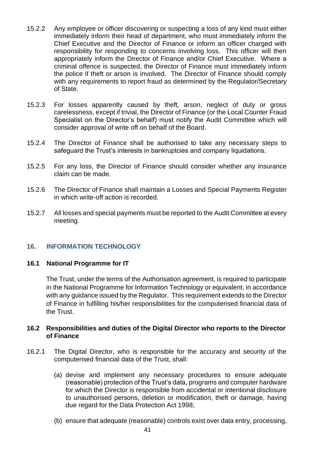- 15.2.2 Any employee or officer discovering or suspecting a loss of any kind must either immediately inform their head of department, who must immediately inform the Chief Executive and the Director of Finance or inform an officer charged with responsibility for responding to concerns involving loss. This officer will then appropriately inform the Director of Finance and/or Chief Executive. Where a criminal offence is suspected, the Director of Finance must immediately inform the police if theft or arson is involved. The Director of Finance should comply with any requirements to report fraud as determined by the Regulator/Secretary of State.
- 15.2.3 For losses apparently caused by theft, arson, neglect of duty or gross carelessness, except if trivial, the Director of Finance (or the Local Counter Fraud Specialist on the Director's behalf) must notify the Audit Committee which will consider approval of write off on behalf of the Board.
- 15.2.4 The Director of Finance shall be authorised to take any necessary steps to safeguard the Trust's interests in bankruptcies and company liquidations.
- 15.2.5 For any loss, the Director of Finance should consider whether any insurance claim can be made.
- 15.2.6 The Director of Finance shall maintain a Losses and Special Payments Register in which write-off action is recorded.
- 15.2.7 All losses and special payments must be reported to the Audit Committee at every meeting.

## <span id="page-40-0"></span>**16. INFORMATION TECHNOLOGY**

## **16.1 National Programme for IT**

The Trust, under the terms of the Authorisation agreement, is required to participate in the National Programme for Information Technology or equivalent, in accordance with any guidance issued by the Regulator. This requirement extends to the Director of Finance in fulfilling his/her responsibilities for the computerised financial data of the Trust.

## **16.2 Responsibilities and duties of the Digital Director who reports to the Director of Finance**

- 16.2.1 The Digital Director, who is responsible for the accuracy and security of the computerised financial data of the Trust, shall:
	- (a) devise and implement any necessary procedures to ensure adequate (reasonable) protection of the Trust's data, programs and computer hardware for which the Director is responsible from accidental or intentional disclosure to unauthorised persons, deletion or modification, theft or damage, having due regard for the Data Protection Act 1998;
	- (b) ensure that adequate (reasonable) controls exist over data entry, processing,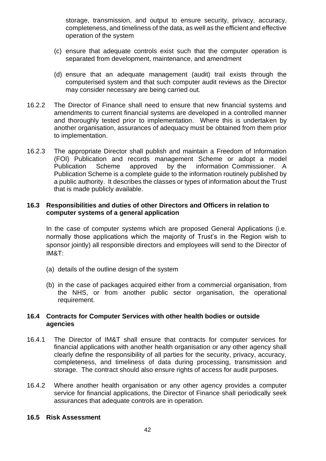storage, transmission, and output to ensure security, privacy, accuracy, completeness, and timeliness of the data, as well as the efficient and effective operation of the system

- (c) ensure that adequate controls exist such that the computer operation is separated from development, maintenance, and amendment
- (d) ensure that an adequate management (audit) trail exists through the computerised system and that such computer audit reviews as the Director may consider necessary are being carried out.
- 16.2.2 The Director of Finance shall need to ensure that new financial systems and amendments to current financial systems are developed in a controlled manner and thoroughly tested prior to implementation. Where this is undertaken by another organisation, assurances of adequacy must be obtained from them prior to implementation.
- 16.2.3 The appropriate Director shall publish and maintain a Freedom of Information (FOI) Publication and records management Scheme or adopt a model Publication Scheme approved by the information Commissioner. A Publication Scheme is a complete guide to the information routinely published by a public authority. It describes the classes or types of information about the Trust that is made publicly available.

## **16.3 Responsibilities and duties of other Directors and Officers in relation to computer systems of a general application**

In the case of computer systems which are proposed General Applications (i.e. normally those applications which the majority of Trust's in the Region wish to sponsor jointly) all responsible directors and employees will send to the Director of IM&T:

- (a) details of the outline design of the system
- (b) in the case of packages acquired either from a commercial organisation, from the NHS, or from another public sector organisation, the operational requirement.

## **16.4 Contracts for Computer Services with other health bodies or outside agencies**

- 16.4.1 The Director of IM&T shall ensure that contracts for computer services for financial applications with another health organisation or any other agency shall clearly define the responsibility of all parties for the security, privacy, accuracy, completeness, and timeliness of data during processing, transmission and storage. The contract should also ensure rights of access for audit purposes.
- 16.4.2 Where another health organisation or any other agency provides a computer service for financial applications, the Director of Finance shall periodically seek assurances that adequate controls are in operation.

## **16.5 Risk Assessment**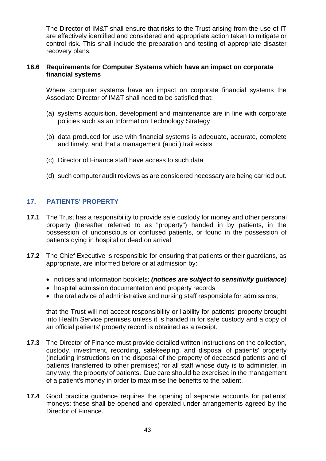The Director of IM&T shall ensure that risks to the Trust arising from the use of IT are effectively identified and considered and appropriate action taken to mitigate or control risk. This shall include the preparation and testing of appropriate disaster recovery plans.

## **16.6 Requirements for Computer Systems which have an impact on corporate financial systems**

Where computer systems have an impact on corporate financial systems the Associate Director of IM&T shall need to be satisfied that:

- (a) systems acquisition, development and maintenance are in line with corporate policies such as an Information Technology Strategy
- (b) data produced for use with financial systems is adequate, accurate, complete and timely, and that a management (audit) trail exists
- (c) Director of Finance staff have access to such data
- (d) such computer audit reviews as are considered necessary are being carried out.

## <span id="page-42-0"></span>**17. PATIENTS' PROPERTY**

- **17.1** The Trust has a responsibility to provide safe custody for money and other personal property (hereafter referred to as "property") handed in by patients, in the possession of unconscious or confused patients, or found in the possession of patients dying in hospital or dead on arrival.
- **17.2** The Chief Executive is responsible for ensuring that patients or their guardians, as appropriate, are informed before or at admission by:
	- notices and information booklets; *(notices are subject to sensitivity guidance)*
	- hospital admission documentation and property records
	- the oral advice of administrative and nursing staff responsible for admissions,

that the Trust will not accept responsibility or liability for patients' property brought into Health Service premises unless it is handed in for safe custody and a copy of an official patients' property record is obtained as a receipt.

- **17.3** The Director of Finance must provide detailed written instructions on the collection, custody, investment, recording, safekeeping, and disposal of patients' property (including instructions on the disposal of the property of deceased patients and of patients transferred to other premises) for all staff whose duty is to administer, in any way, the property of patients. Due care should be exercised in the management of a patient's money in order to maximise the benefits to the patient.
- **17.4** Good practice guidance requires the opening of separate accounts for patients' moneys; these shall be opened and operated under arrangements agreed by the Director of Finance.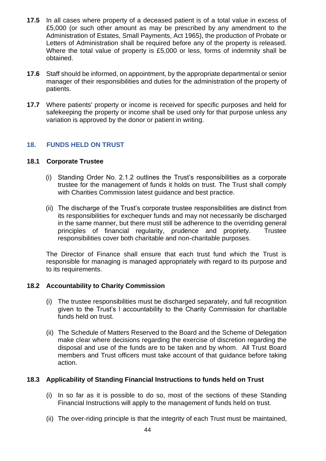- **17.5** In all cases where property of a deceased patient is of a total value in excess of £5,000 (or such other amount as may be prescribed by any amendment to the Administration of Estates, Small Payments, Act 1965), the production of Probate or Letters of Administration shall be required before any of the property is released. Where the total value of property is £5,000 or less, forms of indemnity shall be obtained.
- **17.6** Staff should be informed, on appointment, by the appropriate departmental or senior manager of their responsibilities and duties for the administration of the property of patients.
- **17.7** Where patients' property or income is received for specific purposes and held for safekeeping the property or income shall be used only for that purpose unless any variation is approved by the donor or patient in writing.

## <span id="page-43-0"></span>**18. FUNDS HELD ON TRUST**

## **18.1 Corporate Trustee**

- (i) Standing Order No. 2.1.2 outlines the Trust's responsibilities as a corporate trustee for the management of funds it holds on trust. The Trust shall comply with Charities Commission latest guidance and best practice.
- (ii) The discharge of the Trust's corporate trustee responsibilities are distinct from its responsibilities for exchequer funds and may not necessarily be discharged in the same manner, but there must still be adherence to the overriding general principles of financial regularity, prudence and propriety. Trustee responsibilities cover both charitable and non-charitable purposes.

The Director of Finance shall ensure that each trust fund which the Trust is responsible for managing is managed appropriately with regard to its purpose and to its requirements.

## **18.2 Accountability to Charity Commission**

- (i) The trustee responsibilities must be discharged separately, and full recognition given to the Trust's l accountability to the Charity Commission for charitable funds held on trust.
- (ii) The Schedule of Matters Reserved to the Board and the Scheme of Delegation make clear where decisions regarding the exercise of discretion regarding the disposal and use of the funds are to be taken and by whom. All Trust Board members and Trust officers must take account of that guidance before taking action.

## **18.3 Applicability of Standing Financial Instructions to funds held on Trust**

- (i) In so far as it is possible to do so, most of the sections of these Standing Financial Instructions will apply to the management of funds held on trust.
- (ii) The over-riding principle is that the integrity of each Trust must be maintained,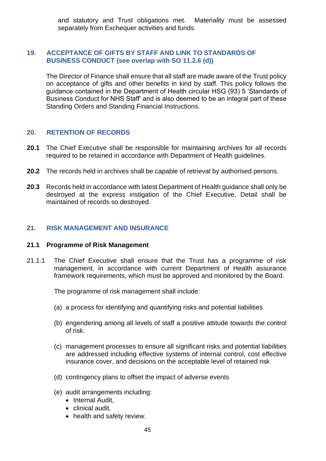and statutory and Trust obligations met. Materiality must be assessed separately from Exchequer activities and funds.

## <span id="page-44-0"></span>**19. ACCEPTANCE OF GIFTS BY STAFF AND LINK TO STANDARDS OF BUSINESS CONDUCT (see overlap with SO 11.2.6 (d))**

The Director of Finance shall ensure that all staff are made aware of the Trust policy on acceptance of gifts and other benefits in kind by staff. This policy follows the guidance contained in the Department of Health circular HSG (93) 5 'Standards of Business Conduct for NHS Staff' and is also deemed to be an integral part of these Standing Orders and Standing Financial Instructions.

## <span id="page-44-1"></span>**20. RETENTION OF RECORDS**

- **20.1** The Chief Executive shall be responsible for maintaining archives for all records required to be retained in accordance with Department of Health guidelines.
- **20.2** The records held in archives shall be capable of retrieval by authorised persons.
- **20.3** Records held in accordance with latest Department of Health guidance shall only be destroyed at the express instigation of the Chief Executive. Detail shall be maintained of records so destroyed.

## <span id="page-44-2"></span>**21. RISK MANAGEMENT AND INSURANCE**

#### **21.1 Programme of Risk Management**

21.1.1 The Chief Executive shall ensure that the Trust has a programme of risk management, in accordance with current Department of Health assurance framework requirements, which must be approved and monitored by the Board.

The programme of risk management shall include:

- (a) a process for identifying and quantifying risks and potential liabilities
- (b) engendering among all levels of staff a positive attitude towards the control of risk.
- (c) management processes to ensure all significant risks and potential liabilities are addressed including effective systems of internal control, cost effective insurance cover, and decisions on the acceptable level of retained risk
- (d) contingency plans to offset the impact of adverse events
- (e) audit arrangements including:
	- Internal Audit,
	- clinical audit,
	- health and safety review.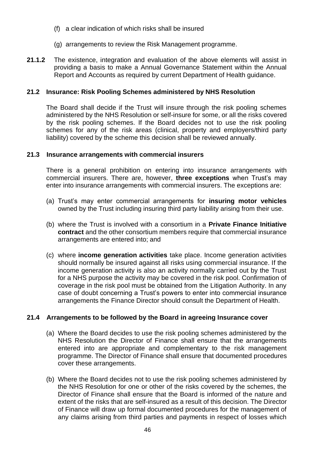- (f) a clear indication of which risks shall be insured
- (g) arrangements to review the Risk Management programme.
- **21.1.2** The existence, integration and evaluation of the above elements will assist in providing a basis to make a Annual Governance Statement within the Annual Report and Accounts as required by current Department of Health guidance.

## **21.2 Insurance: Risk Pooling Schemes administered by NHS Resolution**

The Board shall decide if the Trust will insure through the risk pooling schemes administered by the NHS Resolution or self-insure for some, or all the risks covered by the risk pooling schemes. If the Board decides not to use the risk pooling schemes for any of the risk areas (clinical, property and employers/third party liability) covered by the scheme this decision shall be reviewed annually.

## **21.3 Insurance arrangements with commercial insurers**

There is a general prohibition on entering into insurance arrangements with commercial insurers. There are, however, **three exceptions** when Trust's may enter into insurance arrangements with commercial insurers. The exceptions are:

- (a) Trust's may enter commercial arrangements for **insuring motor vehicles** owned by the Trust including insuring third party liability arising from their use.
- (b) where the Trust is involved with a consortium in a **Private Finance Initiative contract** and the other consortium members require that commercial insurance arrangements are entered into; and
- (c) where **income generation activities** take place. Income generation activities should normally be insured against all risks using commercial insurance. If the income generation activity is also an activity normally carried out by the Trust for a NHS purpose the activity may be covered in the risk pool. Confirmation of coverage in the risk pool must be obtained from the Litigation Authority. In any case of doubt concerning a Trust's powers to enter into commercial insurance arrangements the Finance Director should consult the Department of Health.

## **21.4 Arrangements to be followed by the Board in agreeing Insurance cover**

- (a) Where the Board decides to use the risk pooling schemes administered by the NHS Resolution the Director of Finance shall ensure that the arrangements entered into are appropriate and complementary to the risk management programme. The Director of Finance shall ensure that documented procedures cover these arrangements.
- (b) Where the Board decides not to use the risk pooling schemes administered by the NHS Resolution for one or other of the risks covered by the schemes, the Director of Finance shall ensure that the Board is informed of the nature and extent of the risks that are self-insured as a result of this decision. The Director of Finance will draw up formal documented procedures for the management of any claims arising from third parties and payments in respect of losses which